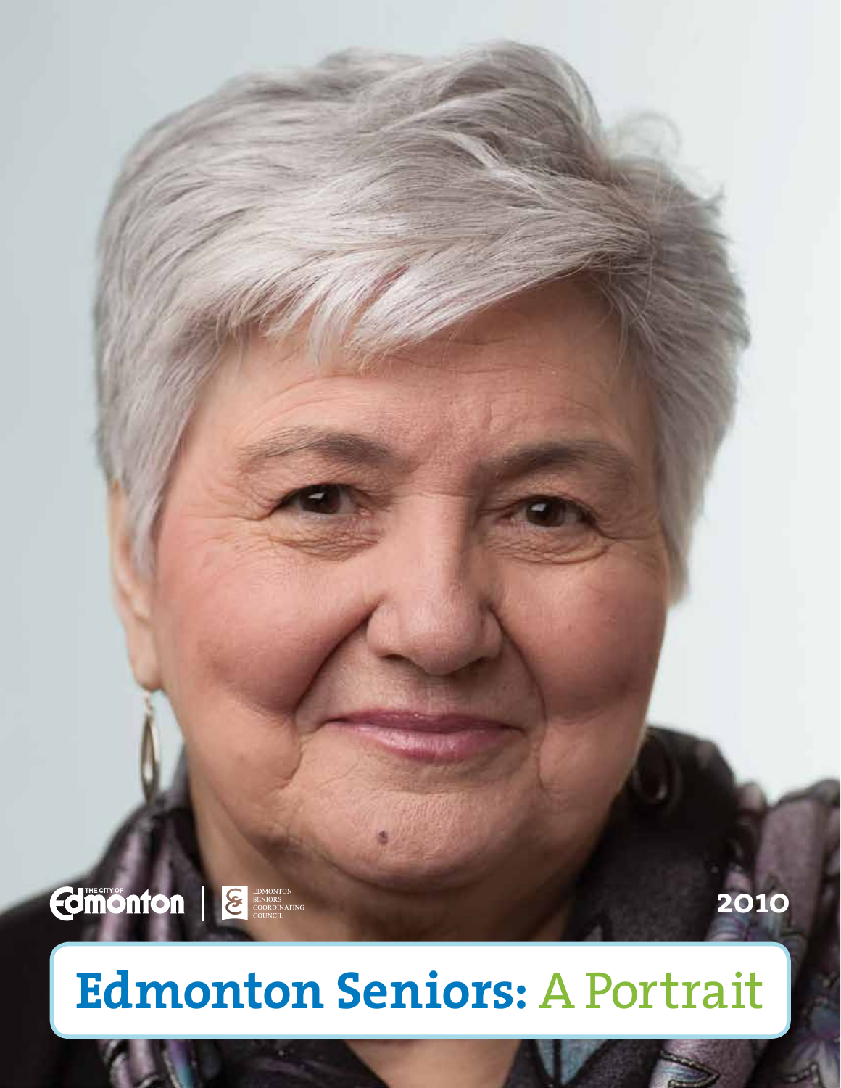

# **Edmonton Seniors:** A Portrait

**BHOAD** 

**2010**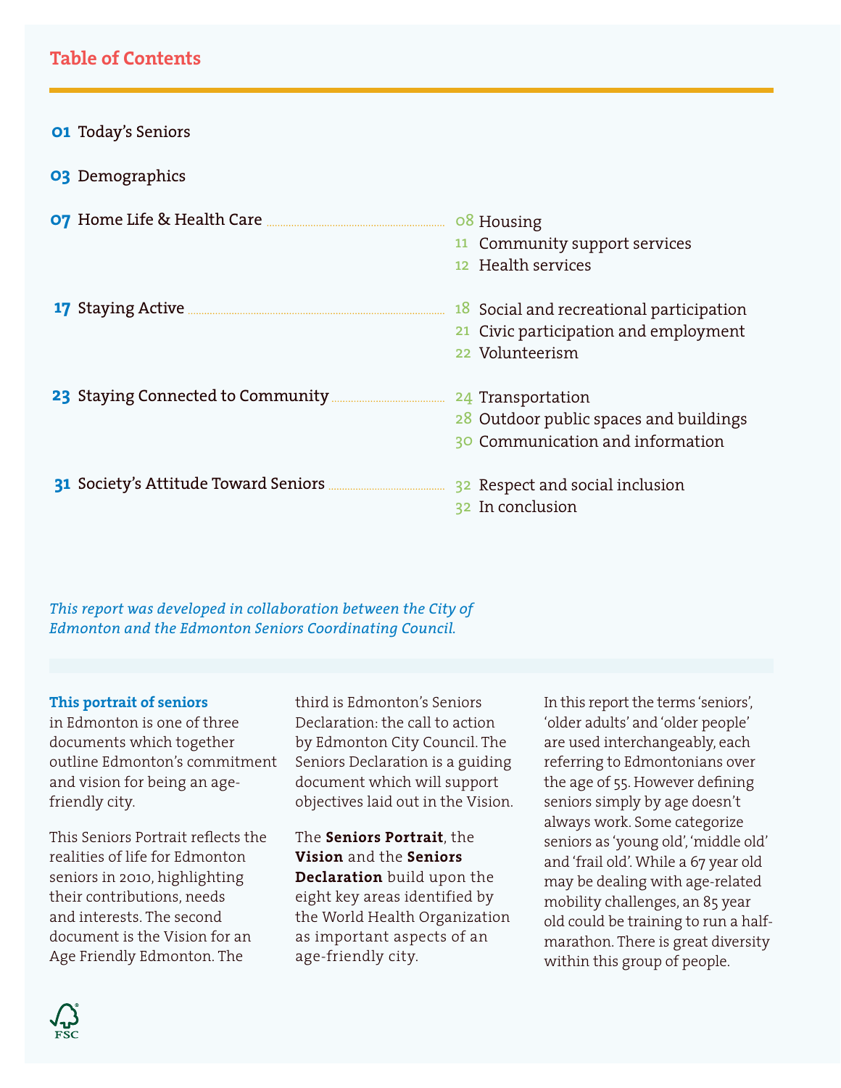#### **Table of Contents**

| <b>01 Today's Seniors</b>                                           |                                                                                                      |
|---------------------------------------------------------------------|------------------------------------------------------------------------------------------------------|
| <b>03</b> Demographics                                              |                                                                                                      |
|                                                                     | 08 Housing<br>11 Community support services<br>12 Health services                                    |
|                                                                     | 18 Social and recreational participation<br>21 Civic participation and employment<br>22 Volunteerism |
| 23 Staying Connected to Community <b>Election</b> 24 Transportation | 28 Outdoor public spaces and buildings<br>30 Communication and information                           |
|                                                                     | 32 Respect and social inclusion<br>32 In conclusion                                                  |

*This report was developed in collaboration between the City of Edmonton and the Edmonton Seniors Coordinating Council.* 

#### **This portrait of seniors**

in Edmonton is one of three documents which together outline Edmonton's commitment and vision for being an agefriendly city.

This Seniors Portrait reflects the realities of life for Edmonton seniors in 2010, highlighting their contributions, needs and interests. The second document is the Vision for an Age Friendly Edmonton. The

third is Edmonton's Seniors Declaration: the call to action by Edmonton City Council. The Seniors Declaration is a guiding document which will support objectives laid out in the Vision.

The **Seniors Portrait**, the **Vision** and the **Seniors Declaration** build upon the eight key areas identified by the World Health Organization as important aspects of an age-friendly city.

In this report the terms 'seniors', 'older adults' and 'older people' are used interchangeably, each referring to Edmontonians over the age of 55. However defining seniors simply by age doesn't always work. Some categorize seniors as 'young old', 'middle old' and 'frail old'. While a 67 year old may be dealing with age-related mobility challenges, an 85 year old could be training to run a halfmarathon. There is great diversity within this group of people.

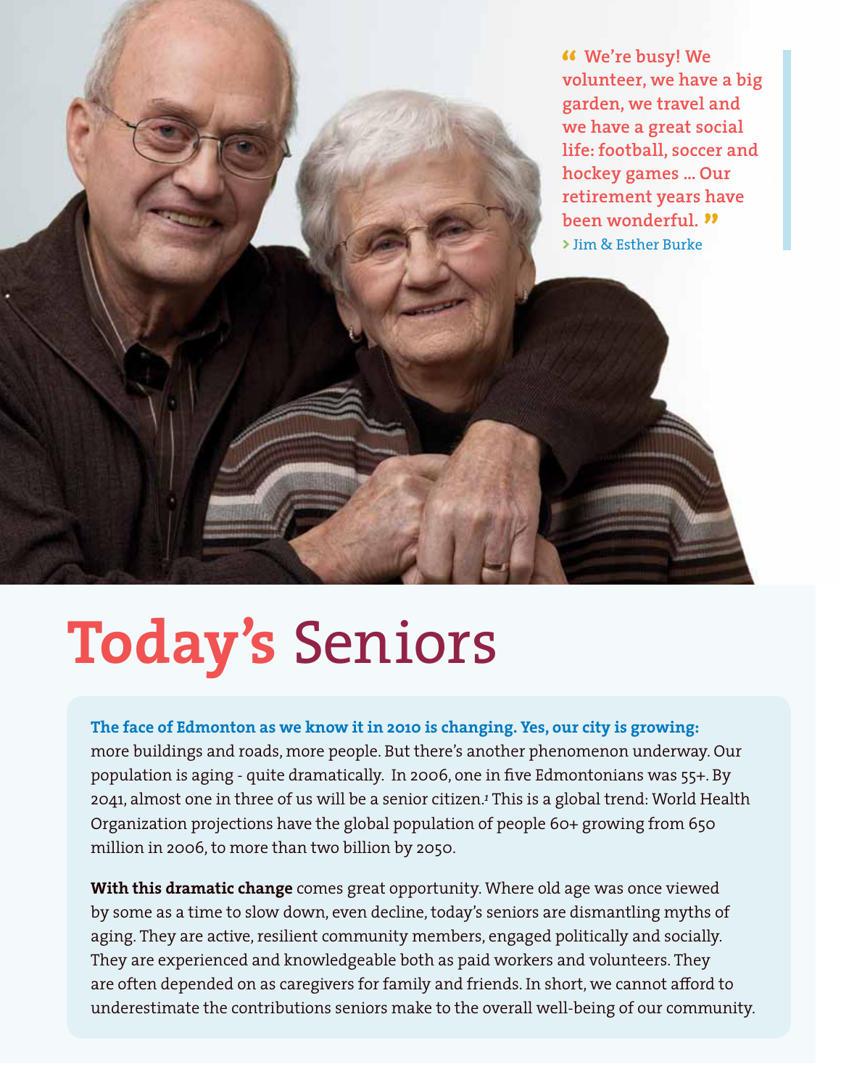**We're busy! We volunteer, we have a big garden, we travel and we have a great social life: football, soccer and hockey games ... Our retirement years have been wonderful. >** Jim & Esther Burke

# **Today's** Seniors

**The face of Edmonton as we know it in 2010 is changing. Yes, our city is growing:**  more buildings and roads, more people. But there's another phenomenon underway. Our population is aging - quite dramatically. In 2006, one in five Edmontonians was 55+. By 2041, almost one in three of us will be a senior citizen.*<sup>1</sup>* This is a global trend: World Health Organization projections have the global population of people 60+ growing from 650 million in 2006, to more than two billion by 2050.

**With this dramatic change** comes great opportunity. Where old age was once viewed by some as a time to slow down, even decline, today's seniors are dismantling myths of aging. They are active, resilient community members, engaged politically and socially. They are experienced and knowledgeable both as paid workers and volunteers. They are often depended on as caregivers for family and friends. In short, we cannot afford to underestimate the contributions seniors make to the overall well-being of our community.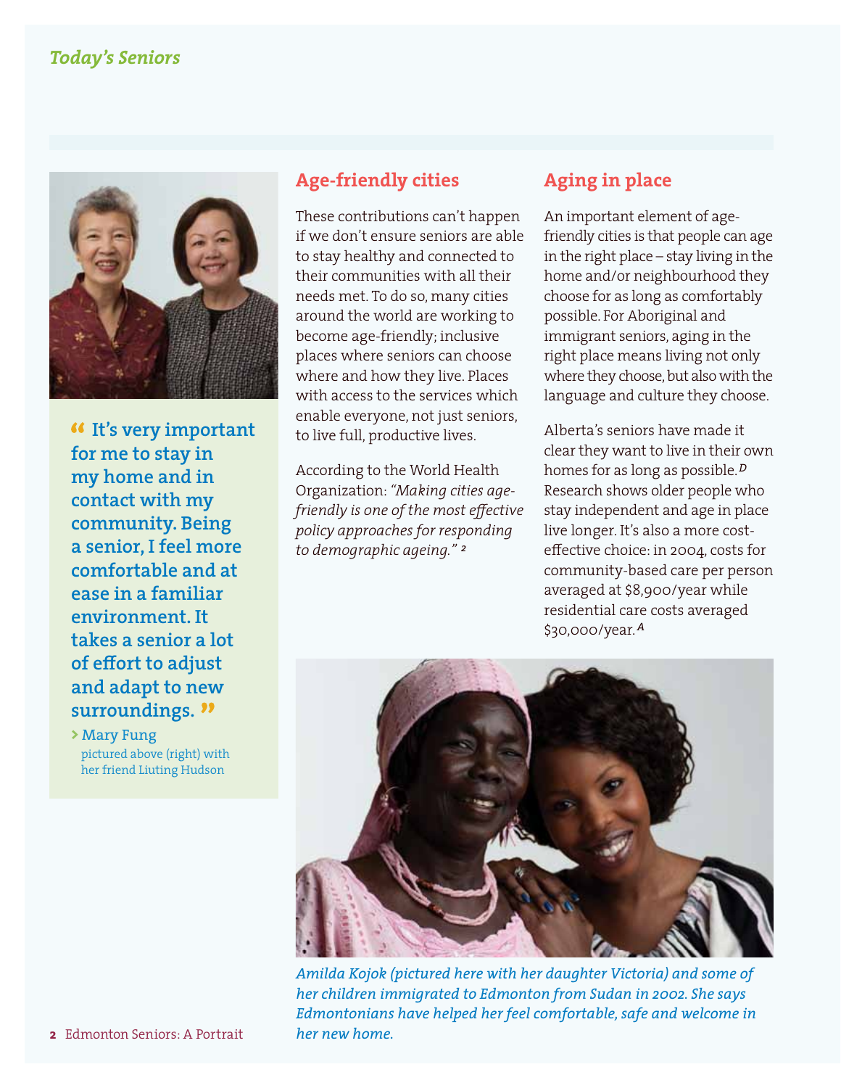#### *Today's Seniors*



 **It's very important for me to stay in my home and in contact with my community. Being a senior, I feel more comfortable and at ease in a familiar environment. It takes a senior a lot of effort to adjust and adapt to new surroundings.**

**>** Mary Fung pictured above (right) with her friend Liuting Hudson

#### **Age-friendly cities**

These contributions can't happen if we don't ensure seniors are able to stay healthy and connected to their communities with all their needs met. To do so, many cities around the world are working to become age-friendly; inclusive places where seniors can choose where and how they live. Places with access to the services which enable everyone, not just seniors, to live full, productive lives.

According to the World Health Organization: *"Making cities agefriendly is one of the most effective policy approaches for responding to demographic ageing." <sup>2</sup>*

#### **Aging in place**

An important element of agefriendly cities is that people can age in the right place – stay living in the home and/or neighbourhood they choose for as long as comfortably possible. For Aboriginal and immigrant seniors, aging in the right place means living not only where they choose, but also with the language and culture they choose.

Alberta's seniors have made it clear they want to live in their own homes for as long as possible.*<sup>D</sup>* Research shows older people who stay independent and age in place live longer. It's also a more costeffective choice: in 2004, costs for community-based care per person averaged at \$8,900/year while residential care costs averaged \$30,000/year.*<sup>A</sup>*



*Amilda Kojok (pictured here with her daughter Victoria) and some of her children immigrated to Edmonton from Sudan in 2002. She says Edmontonians have helped her feel comfortable, safe and welcome in her new home.*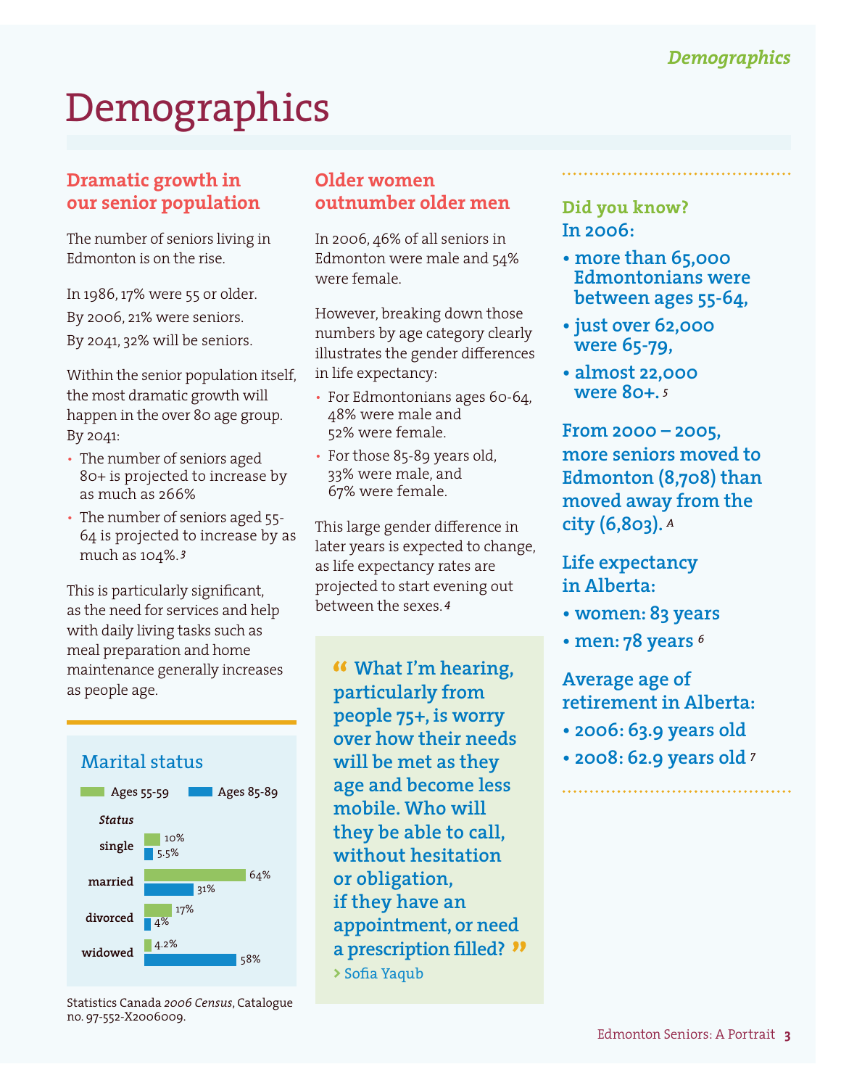# **Demographics**

#### **Dramatic growth in our senior population**

The number of seniors living in Edmonton is on the rise.

In 1986, 17% were 55 or older. By 2006, 21% were seniors. By 2041, 32% will be seniors.

Within the senior population itself, the most dramatic growth will happen in the over 80 age group. By 2041:

- The number of seniors aged 80+ is projected to increase by as much as 266%
- The number of seniors aged 55- 64 is projected to increase by as much as 104%. *<sup>3</sup>*

This is particularly significant, as the need for services and help with daily living tasks such as meal preparation and home maintenance generally increases as people age.



Statistics Canada *2006 Census*, Catalogue no. 97-552-X2006009.

#### **Older women outnumber older men**

In 2006, 46% of all seniors in Edmonton were male and 54% were female.

However, breaking down those numbers by age category clearly illustrates the gender differences in life expectancy:

- For Edmontonians ages 60-64, 48% were male and 52% were female.
- For those 85-89 years old, 33% were male, and 67% were female.

This large gender difference in later years is expected to change, as life expectancy rates are projected to start evening out between the sexes. *<sup>4</sup>*

 **What I'm hearing, particularly from people 75+, is worry over how their needs will be met as they age and become less mobile. Who will they be able to call, without hesitation or obligation, if they have an appointment, or need a prescription filled? >** Sofia Yaqub

#### **Did you know? In 2006:**

- **more than 65,000 Edmontonians were between ages 55-64,**
- **just over 62,000 were 65-79,**
- **almost 22,000 were 80+.** *<sup>5</sup>*

**From 2000 – 2005, more seniors moved to Edmonton (8,708) than moved away from the city (6,803).** *<sup>A</sup>*

### **Life expectancy in Alberta:**

- **women: 83 years**
- **men: 78 years** *<sup>6</sup>*

**Average age of retirement in Alberta:**

- **2006: 63.9 years old**
- **2008: 62.9 years old** *<sup>7</sup>*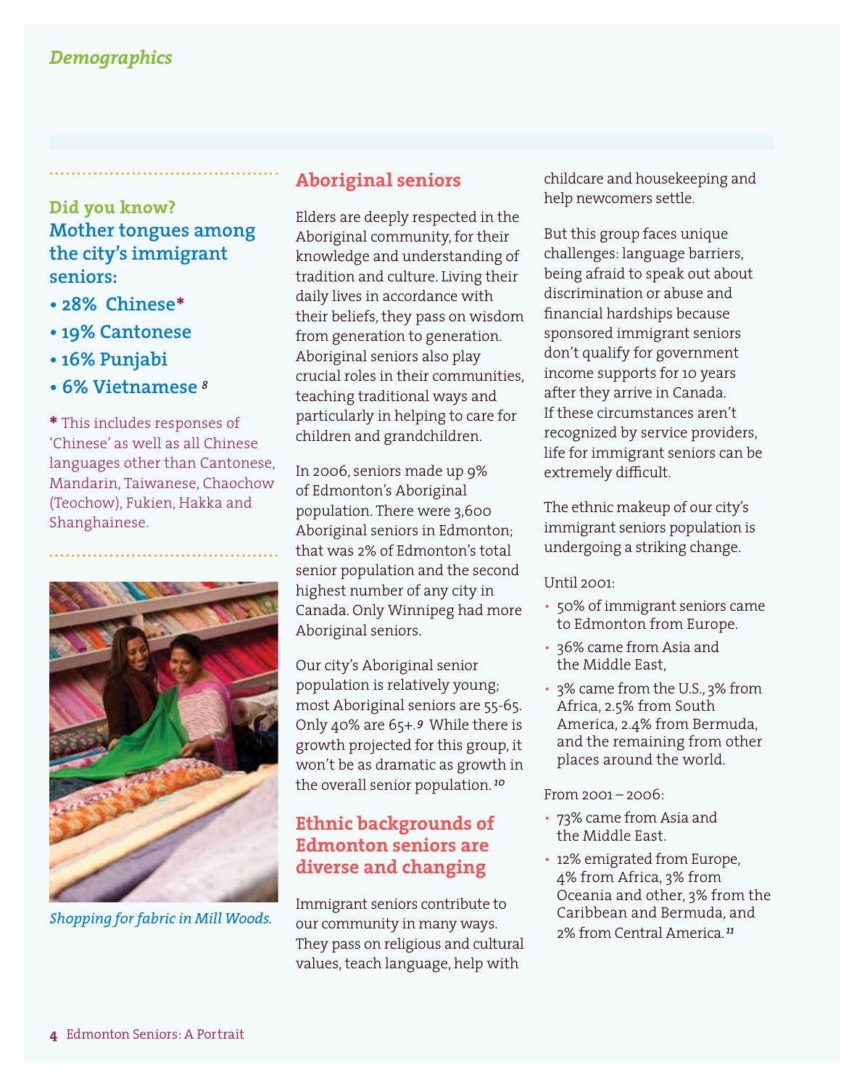### **Did you know? Mother tongues among the city's immigrant seniors:**

- **28% Chinese\***
- **19% Cantonese**
- **16% Punjabi**
- **6% Vietnamese** *<sup>8</sup>*

**\*** This includes responses of 'Chinese' as well as all Chinese languages other than Cantonese, Mandarin, Taiwanese, Chaochow (Teochow), Fukien, Hakka and Shanghainese.



#### **Aboriginal seniors**

Elders are deeply respected in the Aboriginal community, for their knowledge and understanding of tradition and culture. Living their daily lives in accordance with their beliefs, they pass on wisdom from generation to generation. Aboriginal seniors also play crucial roles in their communities, teaching traditional ways and particularly in helping to care for children and grandchildren.

In 2006, seniors made up 9% of Edmonton's Aboriginal population. There were 3,600 Aboriginal seniors in Edmonton; that was 2% of Edmonton's total senior population and the second highest number of any city in Canada. Only Winnipeg had more Aboriginal seniors.

Our city's Aboriginal senior population is relatively young; most Aboriginal seniors are 55-65. Only 40% are 65+.*<sup>9</sup>*While there is growth projected for this group, it won't be as dramatic as growth in the overall senior population. *<sup>10</sup>*

#### **Ethnic backgrounds of Edmonton seniors are diverse and changing**

Immigrant seniors contribute to our community in many ways. 2% from Central America.*<sup>11</sup> Shopping for fabric in Mill Woods.* They pass on religious and cultural values, teach language, help with

childcare and housekeeping and help newcomers settle.

But this group faces unique challenges: language barriers, being afraid to speak out about discrimination or abuse and financial hardships because sponsored immigrant seniors don't qualify for government income supports for 10 years after they arrive in Canada. If these circumstances aren't recognized by service providers, life for immigrant seniors can be extremely difficult.

The ethnic makeup of our city's immigrant seniors population is undergoing a striking change.

#### $[Intil 2001]$

- 50% of immigrant seniors came to Edmonton from Europe.
- 36% came from Asia and the Middle East,
- 3% came from the U.S., 3% from Africa, 2.5% from South America, 2.4% from Bermuda, and the remaining from other places around the world.

#### From 2001 – 2006:

- 73% came from Asia and the Middle East.
- 12% emigrated from Europe, 4% from Africa, 3% from Oceania and other, 3% from the Caribbean and Bermuda, and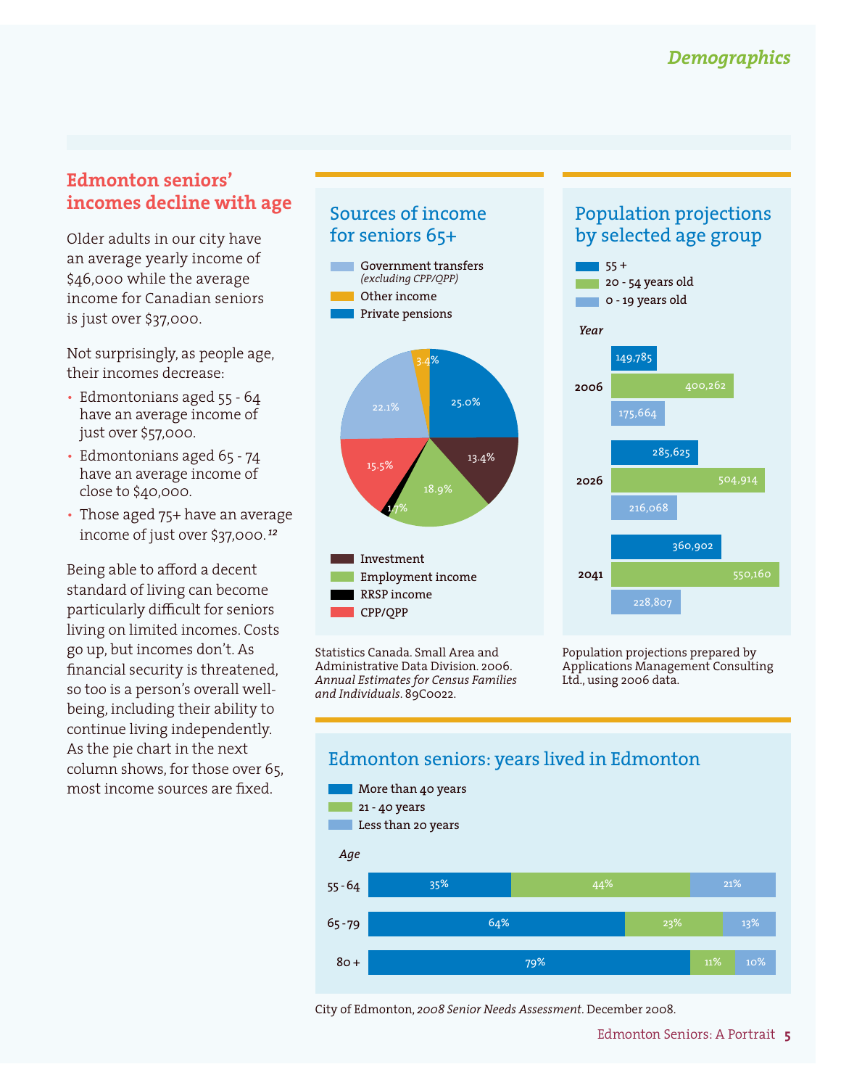#### **Edmonton seniors' incomes decline with age**

Older adults in our city have an average yearly income of \$46,000 while the average income for Canadian seniors is just over \$37,000.

Not surprisingly, as people age, their incomes decrease:

- Edmontonians aged 55 64 have an average income of just over \$57,000.
- Edmontonians aged 65 74 have an average income of close to \$40,000.
- Those aged 75+ have an average income of just over \$37,000. *<sup>12</sup>*

Being able to afford a decent standard of living can become particularly difficult for seniors living on limited incomes. Costs go up, but incomes don't. As financial security is threatened, so too is a person's overall wellbeing, including their ability to continue living independently. As the pie chart in the next column shows, for those over 65, most income sources are fixed.

### Sources of income for seniors 65+





Statistics Canada. Small Area and Administrative Data Division. 2006. *Annual Estimates for Census Families and Individuals*. 89C0022.

#### Population projections by selected age group



Population projections prepared by Applications Management Consulting Ltd., using 2006 data.



City of Edmonton, *2008 Senior Needs Assessment*. December 2008.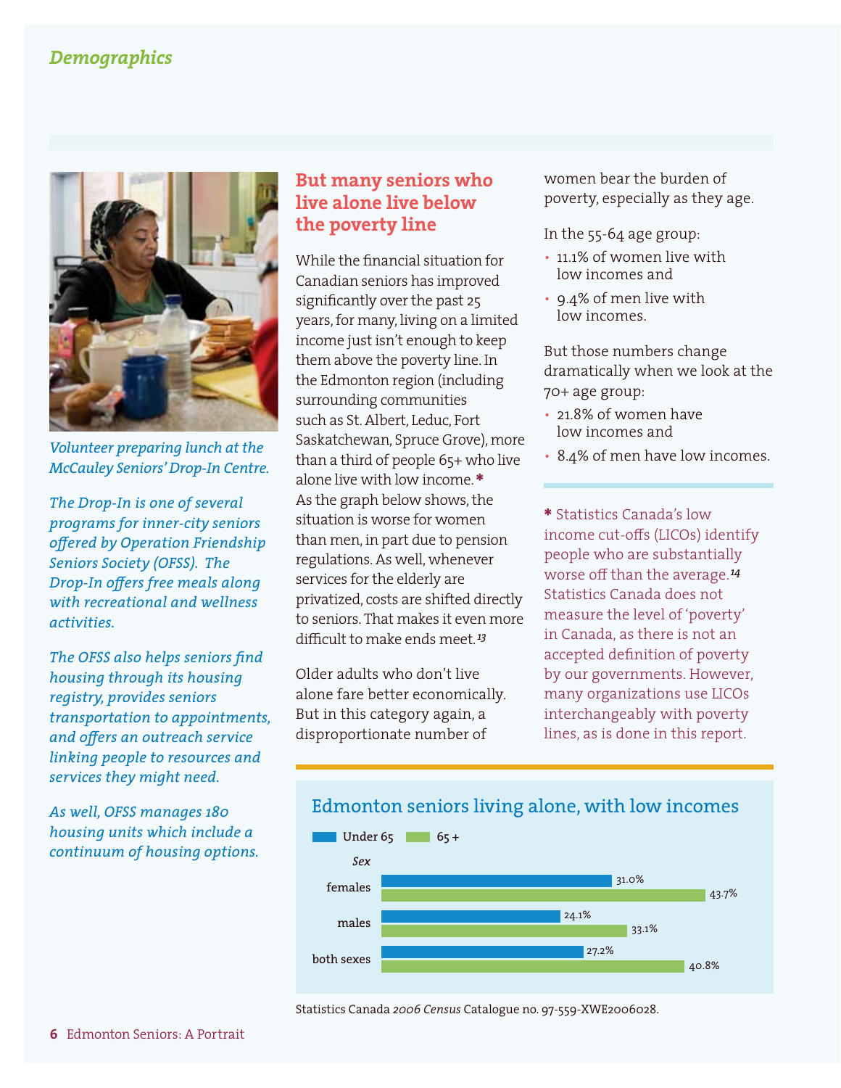#### *Demographics*



*Volunteer preparing lunch at the McCauley Seniors' Drop-In Centre.* 

*The Drop-In is one of several programs for inner-city seniors offered by Operation Friendship Seniors Society (OFSS). The Drop-In offers free meals along with recreational and wellness activities.* 

*The OFSS also helps seniors find housing through its housing registry, provides seniors transportation to appointments, and offers an outreach service linking people to resources and services they might need.* 

*As well, OFSS manages 180 housing units which include a continuum of housing options.* 

#### **But many seniors who live alone live below the poverty line**

While the financial situation for Canadian seniors has improved significantly over the past 25 years, for many, living on a limited income just isn't enough to keep them above the poverty line. In the Edmonton region (including surrounding communities such as St. Albert, Leduc, Fort Saskatchewan, Spruce Grove), more than a third of people 65+ who live alone live with low income.**\*** As the graph below shows, the situation is worse for women than men, in part due to pension regulations. As well, whenever services for the elderly are privatized, costs are shifted directly to seniors. That makes it even more difficult to make ends meet.*<sup>13</sup>*

Older adults who don't live alone fare better economically. But in this category again, a disproportionate number of

women bear the burden of poverty, especially as they age.

In the 55-64 age group:

- 11.1% of women live with low incomes and
- 9.4% of men live with low incomes.

But those numbers change dramatically when we look at the 70+ age group:

- 21.8% of women have low incomes and
- 8.4% of men have low incomes.

**\*** Statistics Canada's low income cut-offs (LICOs) identify people who are substantially worse off than the average.*<sup>14</sup>* Statistics Canada does not measure the level of 'poverty' in Canada, as there is not an accepted definition of poverty by our governments. However, many organizations use LICOs interchangeably with poverty lines, as is done in this report.



Statistics Canada *2006 Census* Catalogue no. 97-559-XWE2006028.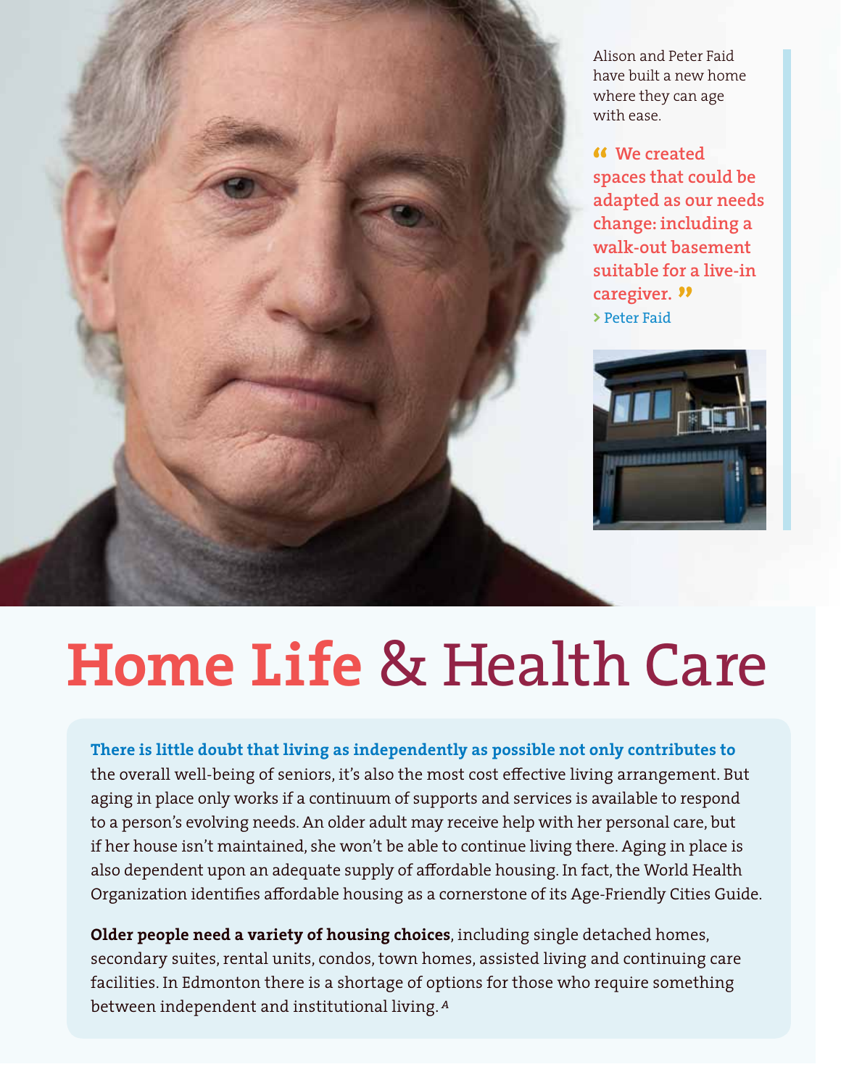Alison and Peter Faid have built a new home where they can age with ease.

 **We created spaces that could be adapted as our needs change: including a walk-out basement suitable for a live-in caregiver. >** Peter Faid



# **Home Life** & Health Care

**There is little doubt that living as independently as possible not only contributes to** the overall well-being of seniors, it's also the most cost effective living arrangement. But aging in place only works if a continuum of supports and services is available to respond to a person's evolving needs. An older adult may receive help with her personal care, but if her house isn't maintained, she won't be able to continue living there. Aging in place is also dependent upon an adequate supply of affordable housing. In fact, the World Health Organization identifies affordable housing as a cornerstone of its Age-Friendly Cities Guide.

**Older people need a variety of housing choices**, including single detached homes, secondary suites, rental units, condos, town homes, assisted living and continuing care facilities. In Edmonton there is a shortage of options for those who require something between independent and institutional living.*<sup>A</sup>*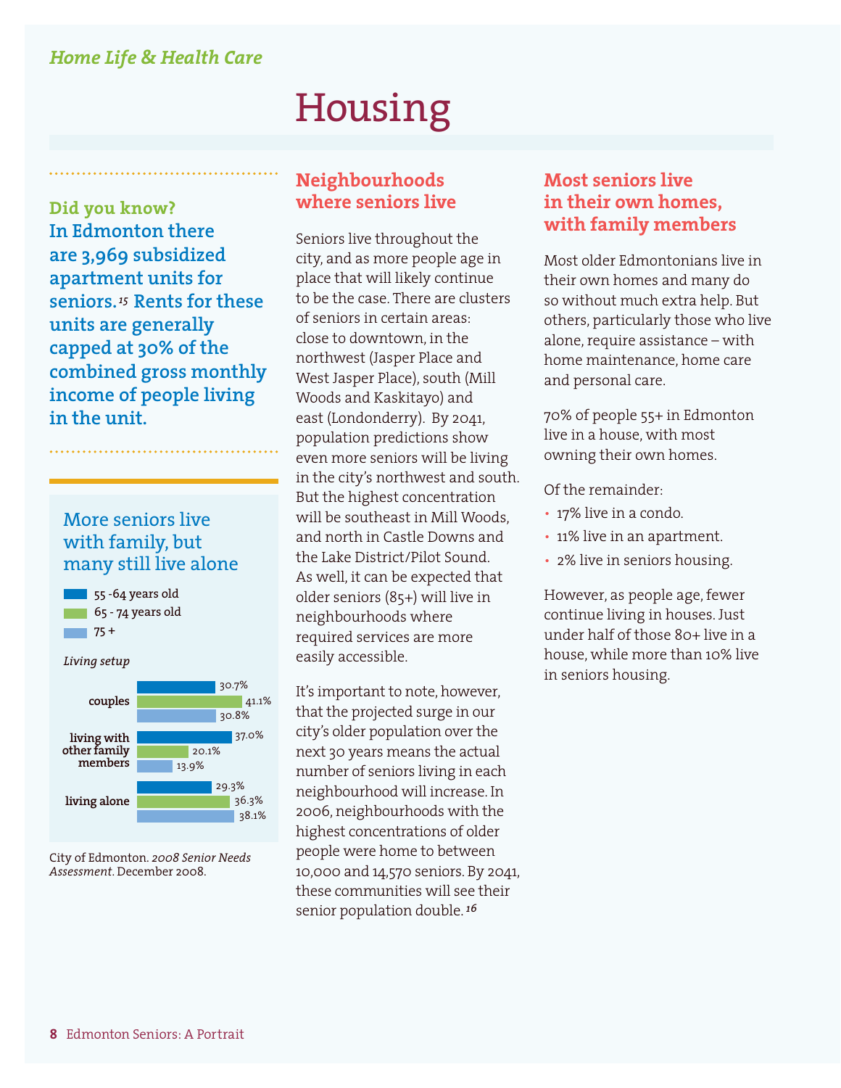#### *Home Life & Health Care*

## Housing

**Did you know? In Edmonton there are 3,969 subsidized apartment units for seniors.***15* **Rents for these units are generally capped at 30% of the combined gross monthly income of people living in the unit.**

#### More seniors live with family, but many still live alone



*Living setup*



City of Edmonton. *2008 Senior Needs Assessment*. December 2008.

#### **Neighbourhoods where seniors live**

Seniors live throughout the city, and as more people age in place that will likely continue to be the case. There are clusters of seniors in certain areas: close to downtown, in the northwest (Jasper Place and West Jasper Place), south (Mill Woods and Kaskitayo) and east (Londonderry). By 2041, population predictions show even more seniors will be living in the city's northwest and south. But the highest concentration will be southeast in Mill Woods, and north in Castle Downs and the Lake District/Pilot Sound. As well, it can be expected that older seniors (85+) will live in neighbourhoods where required services are more easily accessible.

It's important to note, however, that the projected surge in our city's older population over the next 30 years means the actual number of seniors living in each neighbourhood will increase. In 2006, neighbourhoods with the highest concentrations of older people were home to between 10,000 and 14,570 seniors. By 2041, these communities will see their senior population double. *<sup>16</sup>*

#### **Most seniors live in their own homes, with family members**

Most older Edmontonians live in their own homes and many do so without much extra help. But others, particularly those who live alone, require assistance – with home maintenance, home care and personal care.

70% of people 55+ in Edmonton live in a house, with most owning their own homes.

Of the remainder:

- 17% live in a condo.
- 11% live in an apartment.
- 2% live in seniors housing.

However, as people age, fewer continue living in houses. Just under half of those 80+ live in a house, while more than 10% live in seniors housing.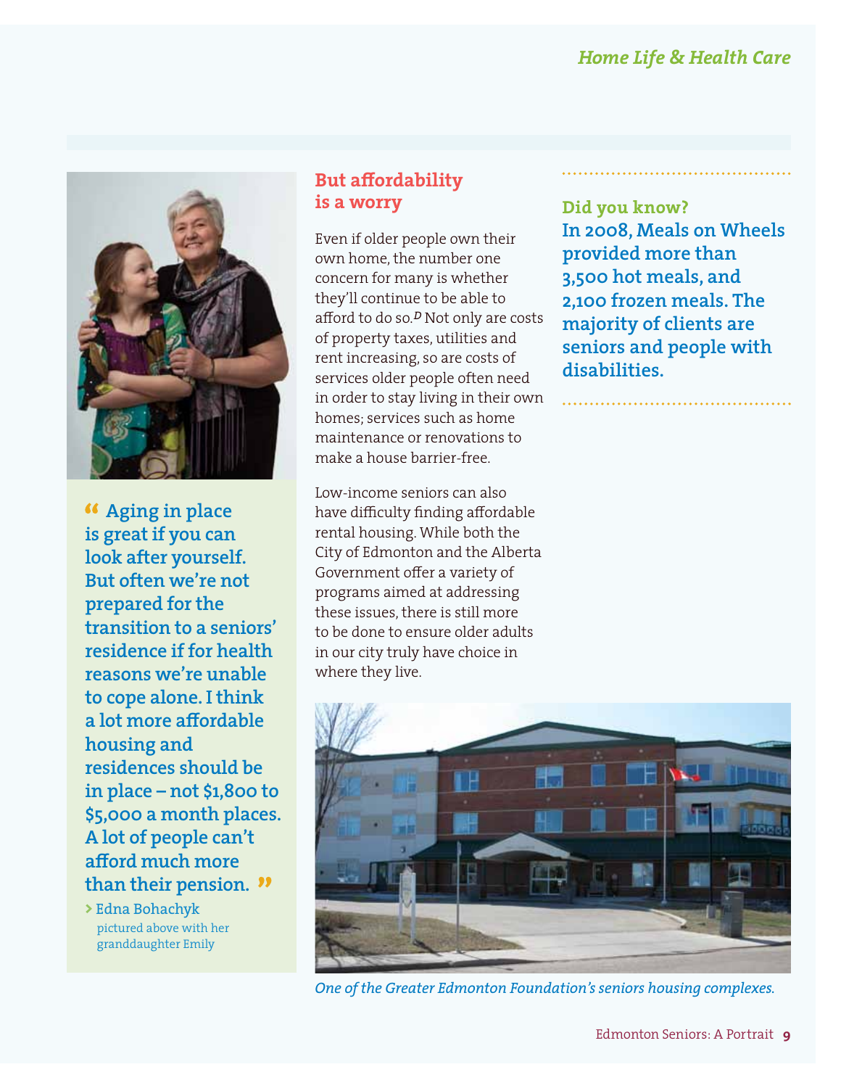

 **Aging in place is great if you can look after yourself. But often we're not prepared for the transition to a seniors' residence if for health reasons we're unable to cope alone. I think a lot more affordable housing and residences should be in place – not \$1,800 to \$5,000 a month places. A lot of people can't afford much more than their pension.**

**>** Edna Bohachyk pictured above with her granddaughter Emily

### **But affordability is a worry**

Even if older people own their own home, the number one concern for many is whether they'll continue to be able to afford to do so.*<sup>D</sup>* Not only are costs of property taxes, utilities and rent increasing, so are costs of services older people often need in order to stay living in their own homes; services such as home maintenance or renovations to make a house barrier-free.

Low-income seniors can also have difficulty finding affordable rental housing. While both the City of Edmonton and the Alberta Government offer a variety of programs aimed at addressing these issues, there is still more to be done to ensure older adults in our city truly have choice in where they live.

**Did you know? In 2008, Meals on Wheels provided more than 3,500 hot meals, and 2,100 frozen meals. The majority of clients are seniors and people with disabilities.**



*One of the Greater Edmonton Foundation's seniors housing complexes.*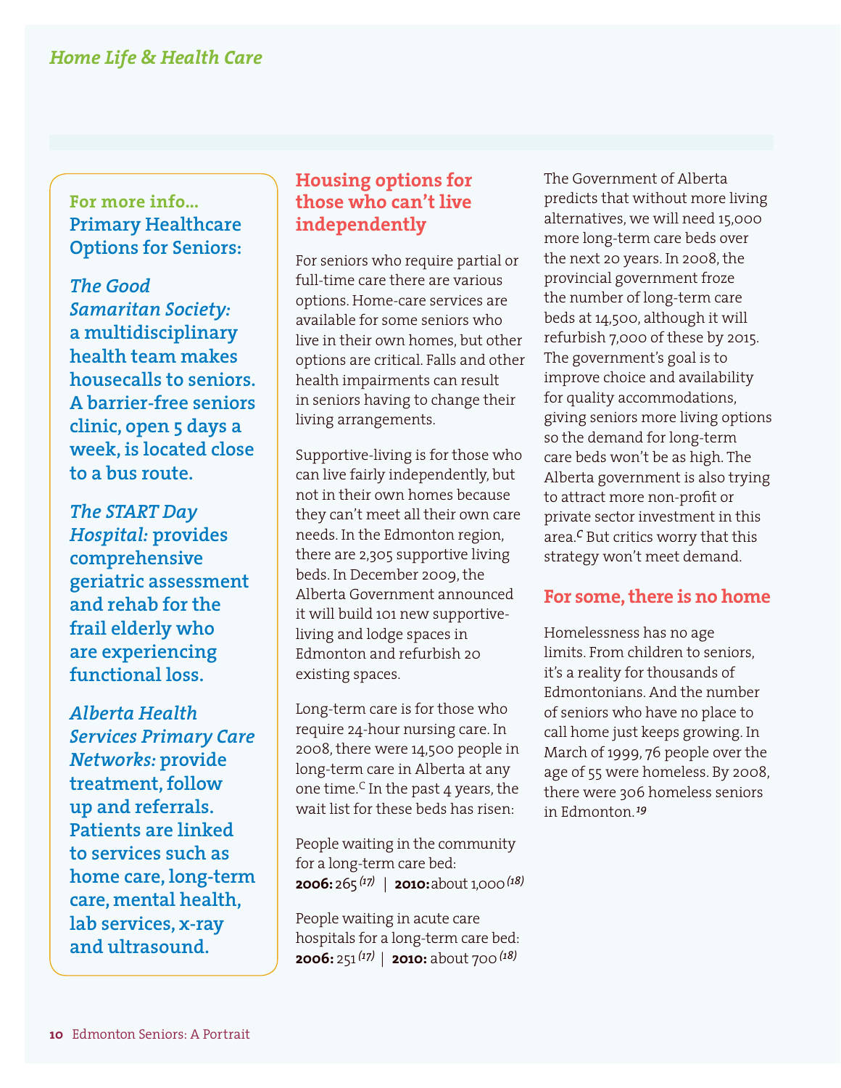**For more info... Primary Healthcare Options for Seniors:**

*The Good Samaritan Society:*  **a multidisciplinary health team makes housecalls to seniors. A barrier-free seniors clinic, open 5 days a week, is located close to a bus route.**

*The START Day Hospital:* **provides comprehensive geriatric assessment and rehab for the frail elderly who are experiencing functional loss.** 

*Alberta Health Services Primary Care Networks:* **provide treatment, follow up and referrals. Patients are linked to services such as home care, long-term care, mental health, lab services, x-ray and ultrasound.**

#### **Housing options for those who can't live independently**

For seniors who require partial or full-time care there are various options. Home-care services are available for some seniors who live in their own homes, but other options are critical. Falls and other health impairments can result in seniors having to change their living arrangements.

Supportive-living is for those who can live fairly independently, but not in their own homes because they can't meet all their own care needs. In the Edmonton region, there are 2,305 supportive living beds. In December 2009, the Alberta Government announced it will build 101 new supportiveliving and lodge spaces in Edmonton and refurbish 20 existing spaces.

Long-term care is for those who require 24-hour nursing care. In 2008, there were 14,500 people in long-term care in Alberta at any one time.<sup>C</sup> In the past 4 years, the wait list for these beds has risen:

People waiting in the community for a long-term care bed: **2006:** 265 *(17)* | **2010:** about 1,000*(18)*

People waiting in acute care hospitals for a long-term care bed: **2006:** 251*(17)* | **2010:** about 700*(18)*

The Government of Alberta predicts that without more living alternatives, we will need 15,000 more long-term care beds over the next 20 years. In 2008, the provincial government froze the number of long-term care beds at 14,500, although it will refurbish 7,000 of these by 2015. The government's goal is to improve choice and availability for quality accommodations, giving seniors more living options so the demand for long-term care beds won't be as high. The Alberta government is also trying to attract more non-profit or private sector investment in this area.*C* But critics worry that this strategy won't meet demand.

#### **For some, there is no home**

Homelessness has no age limits. From children to seniors, it's a reality for thousands of Edmontonians. And the number of seniors who have no place to call home just keeps growing. In March of 1999, 76 people over the age of 55 were homeless. By 2008, there were 306 homeless seniors in Edmonton.*<sup>19</sup>*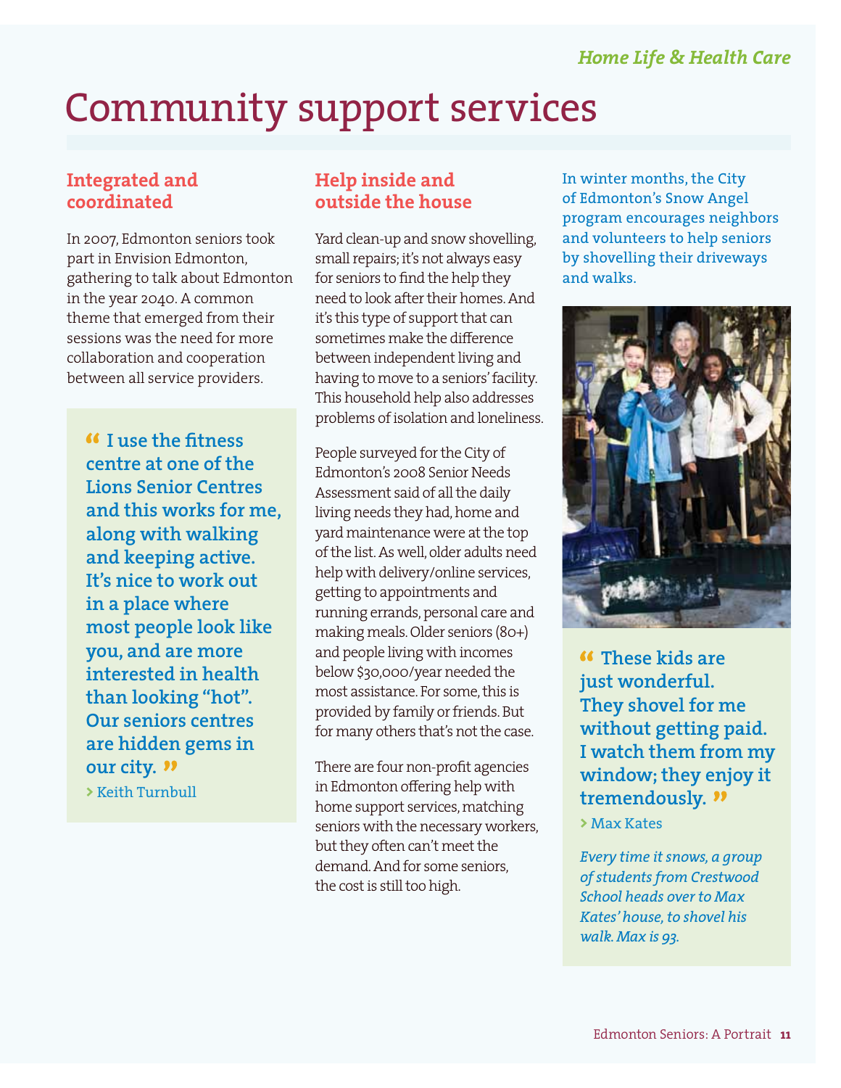## Community support services

#### **Integrated and coordinated**

In 2007, Edmonton seniors took part in Envision Edmonton, gathering to talk about Edmonton in the year 2040. A common theme that emerged from their sessions was the need for more collaboration and cooperation between all service providers.

 **I use the fitness centre at one of the Lions Senior Centres and this works for me, along with walking and keeping active. It's nice to work out in a place where most people look like you, and are more interested in health than looking "hot". Our seniors centres are hidden gems in our city. >** Keith Turnbull

#### **Help inside and outside the house**

Yard clean-up and snow shovelling, small repairs; it's not always easy for seniors to find the help they need to look after their homes. And it's this type of support that can sometimes make the difference between independent living and having to move to a seniors' facility. This household help also addresses problems of isolation and loneliness.

People surveyed for the City of Edmonton's 2008 Senior Needs Assessment said of all the daily living needs they had, home and yard maintenance were at the top of the list. As well, older adults need help with delivery/online services, getting to appointments and running errands, personal care and making meals. Older seniors (80+) and people living with incomes below \$30,000/year needed the most assistance. For some, this is provided by family or friends. But for many others that's not the case.

There are four non-profit agencies in Edmonton offering help with home support services, matching seniors with the necessary workers, but they often can't meet the demand. And for some seniors, the cost is still too high.

In winter months, the City of Edmonton's Snow Angel program encourages neighbors and volunteers to help seniors by shovelling their driveways and walks.



 **These kids are just wonderful. They shovel for me without getting paid. I watch them from my window; they enjoy it tremendously.**

**>** Max Kates

*Every time it snows, a group of students from Crestwood School heads over to Max Kates' house, to shovel his walk. Max is 93.*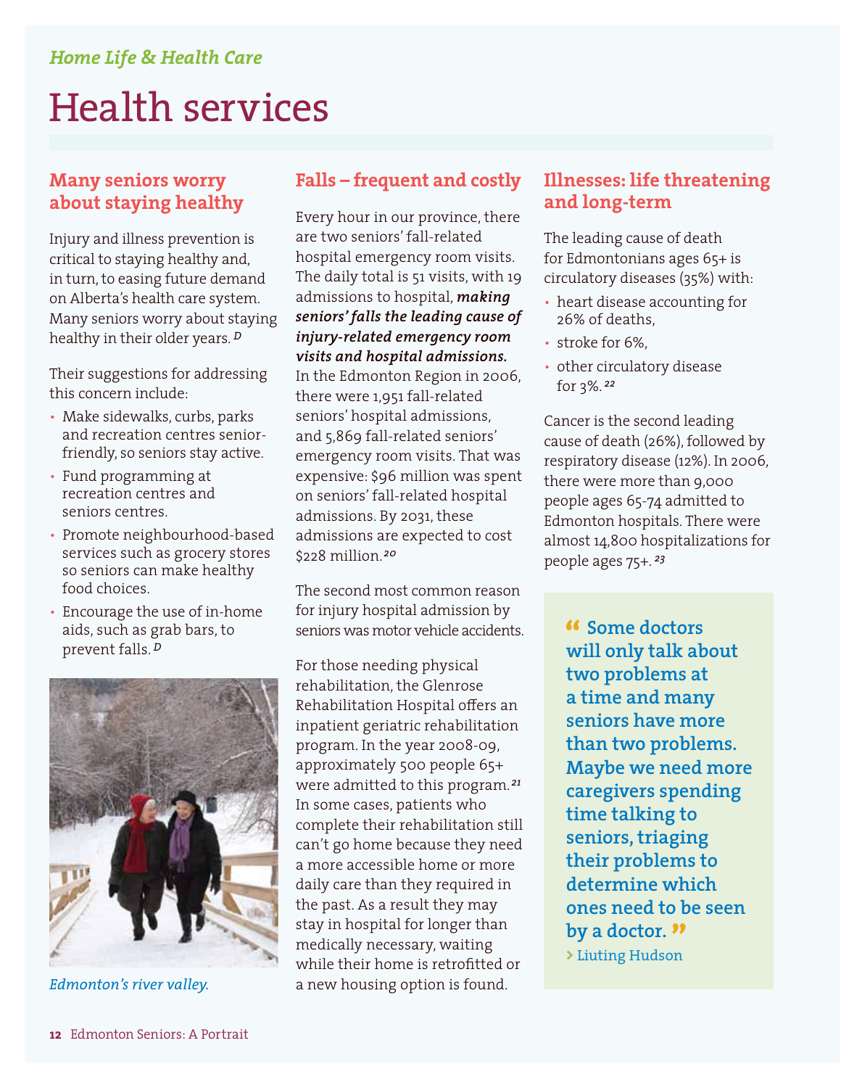## Health services

#### **Many seniors worry about staying healthy**

Injury and illness prevention is critical to staying healthy and, in turn, to easing future demand on Alberta's health care system. Many seniors worry about staying healthy in their older years. *<sup>D</sup>*

Their suggestions for addressing this concern include:

- Make sidewalks, curbs, parks and recreation centres seniorfriendly, so seniors stay active.
- Fund programming at recreation centres and seniors centres.
- Promote neighbourhood-based services such as grocery stores so seniors can make healthy food choices.
- Encourage the use of in-home aids, such as grab bars, to prevent falls. *<sup>D</sup>*



### **Falls – frequent and costly**

Every hour in our province, there are two seniors' fall-related hospital emergency room visits. The daily total is 51 visits, with 19 admissions to hospital, *making seniors' falls the leading cause of injury-related emergency room visits and hospital admissions.*  In the Edmonton Region in 2006, there were 1,951 fall-related seniors' hospital admissions, and 5,869 fall-related seniors' emergency room visits. That was expensive: \$96 million was spent on seniors' fall-related hospital admissions. By 2031, these admissions are expected to cost \$228 million. *<sup>20</sup>*

The second most common reason for injury hospital admission by seniors was motor vehicle accidents.

For those needing physical rehabilitation, the Glenrose Rehabilitation Hospital offers an inpatient geriatric rehabilitation program. In the year 2008-09, approximately 500 people 65+ were admitted to this program. *<sup>21</sup>* In some cases, patients who complete their rehabilitation still can't go home because they need a more accessible home or more daily care than they required in the past. As a result they may stay in hospital for longer than medically necessary, waiting while their home is retrofitted or *Edmonton's river valley.* a new housing option is found.

#### **Illnesses: life threatening and long-term**

The leading cause of death for Edmontonians ages 65+ is circulatory diseases (35%) with:

- heart disease accounting for 26% of deaths,
- stroke for 6%.
- other circulatory disease for 3%. *<sup>22</sup>*

Cancer is the second leading cause of death (26%), followed by respiratory disease (12%). In 2006, there were more than 9,000 people ages 65-74 admitted to Edmonton hospitals. There were almost 14,800 hospitalizations for people ages 75+. *<sup>23</sup>*

 **Some doctors will only talk about two problems at a time and many seniors have more than two problems. Maybe we need more caregivers spending time talking to seniors, triaging their problems to determine which ones need to be seen by a doctor. >** Liuting Hudson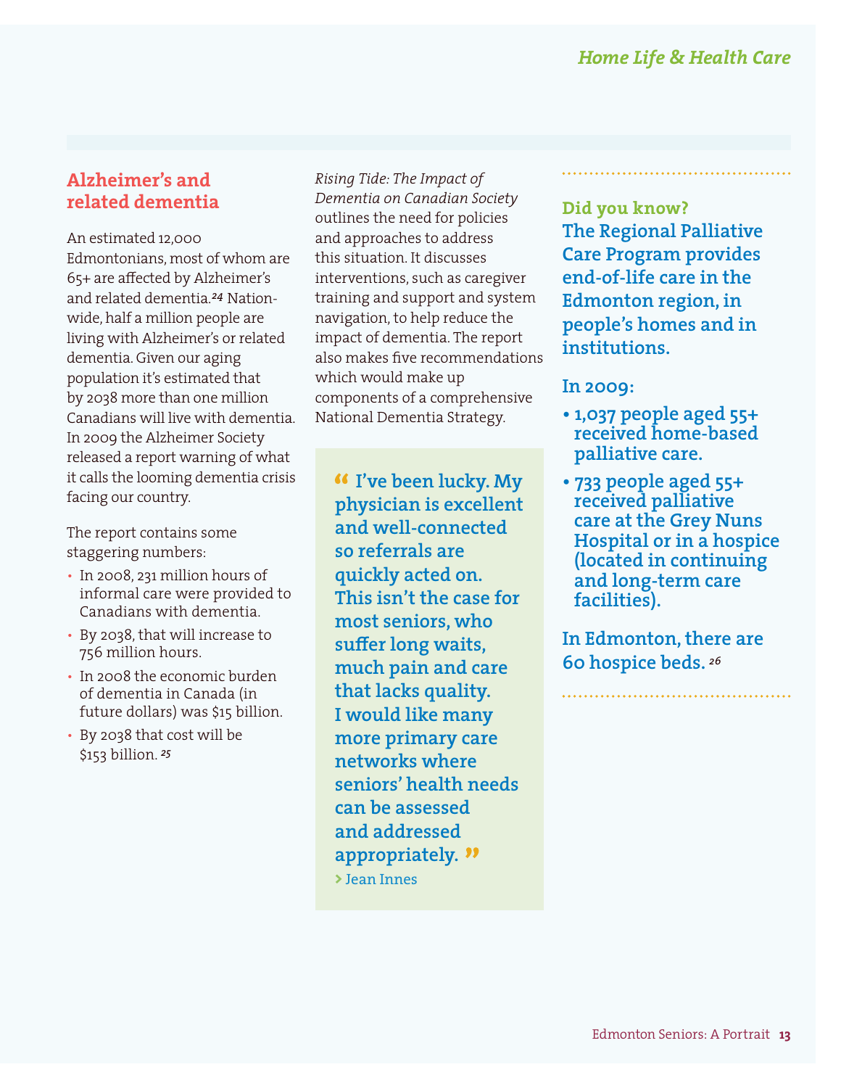#### **Alzheimer's and related dementia**

An estimated 12,000 Edmontonians, most of whom are 65+ are affected by Alzheimer's and related dementia. *24* Nationwide, half a million people are living with Alzheimer's or related dementia. Given our aging population it's estimated that by 2038 more than one million Canadians will live with dementia. In 2009 the Alzheimer Society released a report warning of what it calls the looming dementia crisis facing our country.

The report contains some staggering numbers:

- In 2008, 231 million hours of informal care were provided to Canadians with dementia.
- By 2038, that will increase to 756 million hours.
- In 2008 the economic burden of dementia in Canada (in future dollars) was \$15 billion.
- By 2038 that cost will be \$153 billion. *<sup>25</sup>*

*Rising Tide: The Impact of Dementia on Canadian Society*  outlines the need for policies and approaches to address this situation. It discusses interventions, such as caregiver training and support and system navigation, to help reduce the impact of dementia. The report also makes five recommendations which would make up components of a comprehensive National Dementia Strategy.

 **I've been lucky. My physician is excellent and well-connected so referrals are quickly acted on. This isn't the case for most seniors, who suffer long waits, much pain and care that lacks quality. I would like many more primary care networks where seniors' health needs can be assessed and addressed appropriately. >** Jean Innes

**Did you know? The Regional Palliative Care Program provides end-of-life care in the Edmonton region, in people's homes and in institutions.**

#### **In 2009:**

- **1,037 people aged 55+ received home-based palliative care.**
- **733 people aged 55+ received palliative care at the Grey Nuns Hospital or in a hospice (located in continuing and long-term care facilities).**

**In Edmonton, there are 60 hospice beds.** *<sup>26</sup>*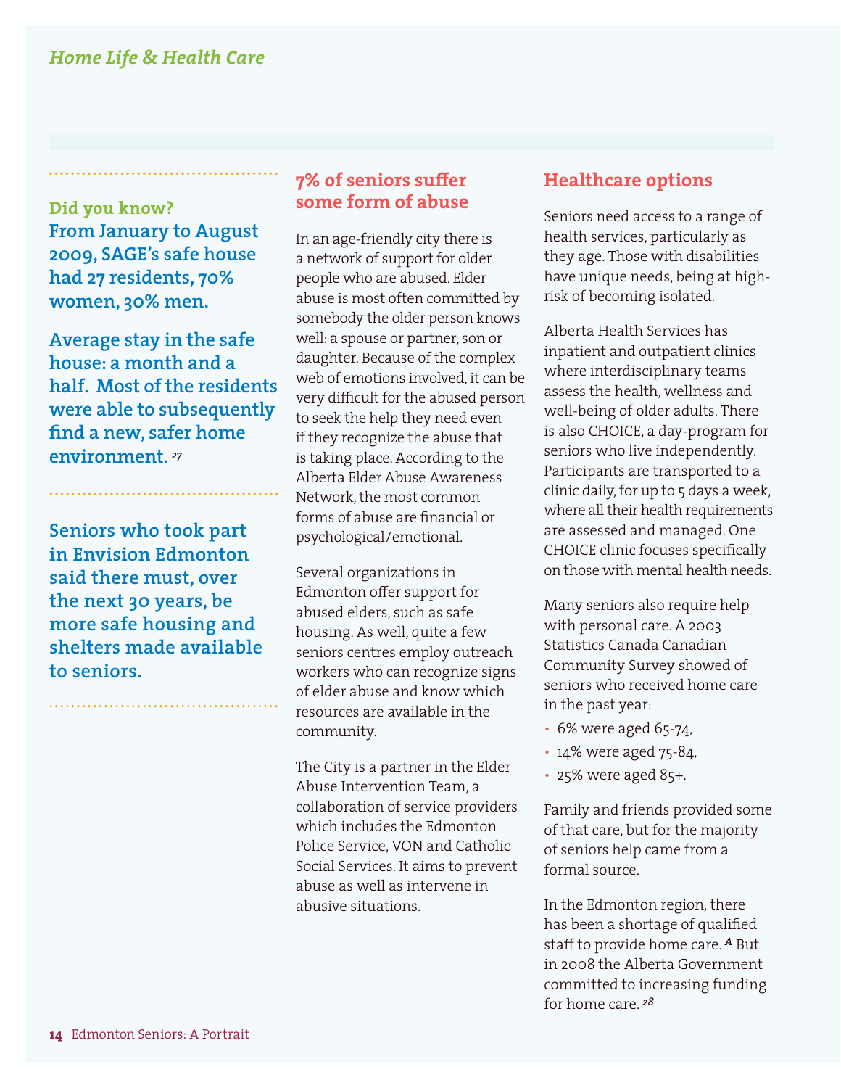**Did you know? From January to August 2009, SAGE's safe house had 27 residents, 70% women, 30% men.** 

**Average stay in the safe house: a month and a half. Most of the residents were able to subsequently find a new, safer home environment.** *<sup>27</sup>*

**Seniors who took part in Envision Edmonton said there must, over the next 30 years, be more safe housing and shelters made available to seniors.**

#### **7% of seniors suffer some form of abuse**

In an age-friendly city there is a network of support for older people who are abused. Elder abuse is most often committed by somebody the older person knows well: a spouse or partner, son or daughter. Because of the complex web of emotions involved, it can be very difficult for the abused person to seek the help they need even if they recognize the abuse that is taking place. According to the Alberta Elder Abuse Awareness Network, the most common forms of abuse are financial or psychological/emotional.

Several organizations in Edmonton offer support for abused elders, such as safe housing. As well, quite a few seniors centres employ outreach workers who can recognize signs of elder abuse and know which resources are available in the community.

The City is a partner in the Elder Abuse Intervention Team, a collaboration of service providers which includes the Edmonton Police Service, VON and Catholic Social Services. It aims to prevent abuse as well as intervene in abusive situations.

#### **Healthcare options**

Seniors need access to a range of health services, particularly as they age. Those with disabilities have unique needs, being at highrisk of becoming isolated.

Alberta Health Services has inpatient and outpatient clinics where interdisciplinary teams assess the health, wellness and well-being of older adults. There is also CHOICE, a day-program for seniors who live independently. Participants are transported to a clinic daily, for up to 5 days a week, where all their health requirements are assessed and managed. One CHOICE clinic focuses specifically on those with mental health needs.

Many seniors also require help with personal care. A 2003 Statistics Canada Canadian Community Survey showed of seniors who received home care in the past year:

- 6% were aged 65-74,
- 14% were aged 75-84,
- 25% were aged 85+.

Family and friends provided some of that care, but for the majority of seniors help came from a formal source.

In the Edmonton region, there has been a shortage of qualified staff to provide home care. *A* But in 2008 the Alberta Government committed to increasing funding for home care. *<sup>28</sup>*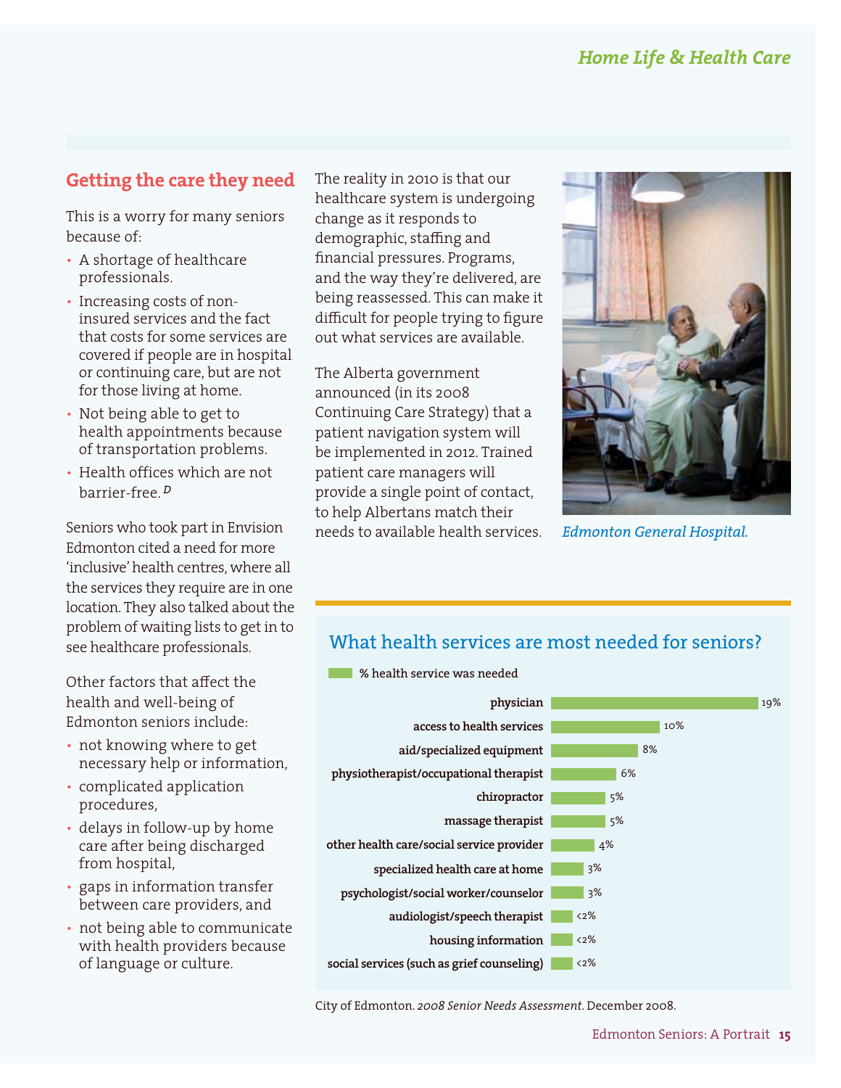### **Getting the care they need**

This is a worry for many seniors because of:

- A shortage of healthcare professionals.
- Increasing costs of noninsured services and the fact that costs for some services are covered if people are in hospital or continuing care, but are not for those living at home.
- Not being able to get to health appointments because of transportation problems.
- Health offices which are not barrier-free. *<sup>D</sup>*

Seniors who took part in Envision Edmonton cited a need for more 'inclusive' health centres, where all the services they require are in one location. They also talked about the problem of waiting lists to get in to see healthcare professionals.

Other factors that affect the health and well-being of Edmonton seniors include:

- not knowing where to get necessary help or information,
- complicated application procedures,
- delays in follow-up by home care after being discharged from hospital,
- gaps in information transfer between care providers, and
- not being able to communicate with health providers because of language or culture.

The reality in 2010 is that our healthcare system is undergoing change as it responds to demographic, staffing and financial pressures. Programs, and the way they're delivered, are being reassessed. This can make it difficult for people trying to figure out what services are available.

The Alberta government announced (in its 2008 Continuing Care Strategy) that a patient navigation system will be implemented in 2012. Trained patient care managers will provide a single point of contact, to help Albertans match their needs to available health services.



*Edmonton General Hospital.*

### What health services are most needed for seniors?



City of Edmonton. *2008 Senior Needs Assessment*. December 2008.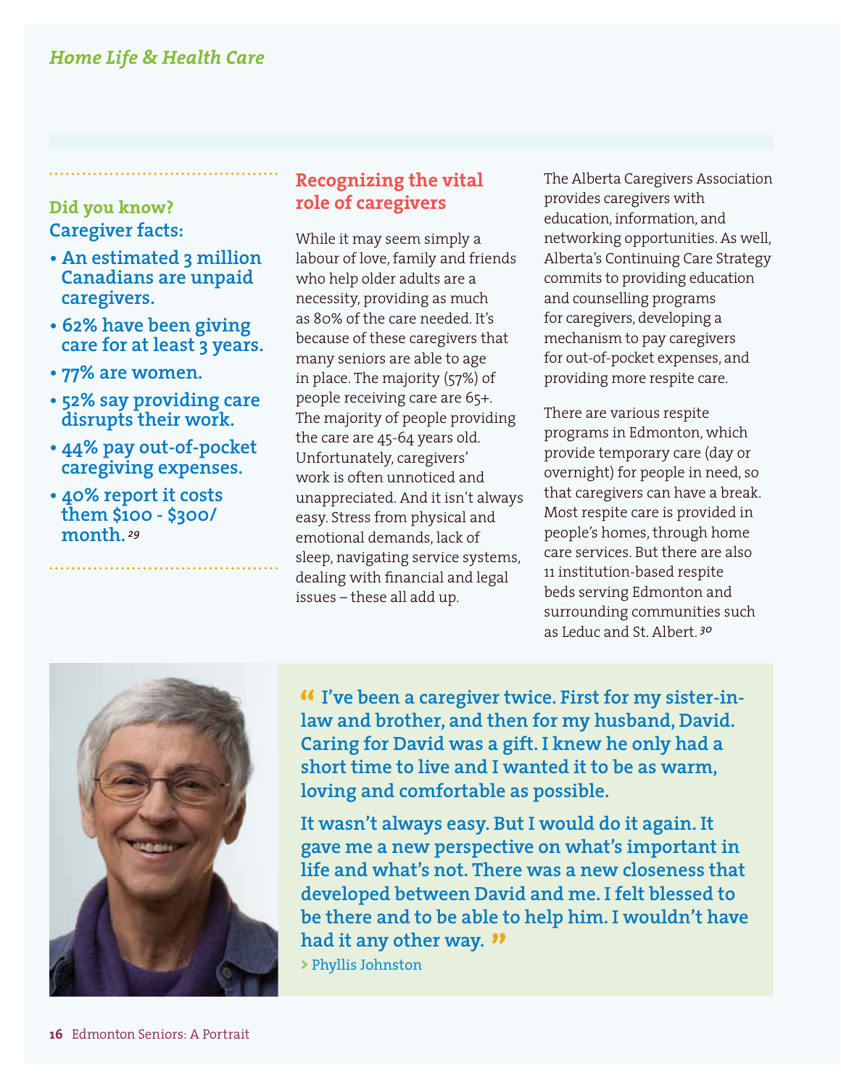#### **Did you know? Caregiver facts:**

- **An estimated 3 million Canadians are unpaid caregivers.**
- **62% have been giving care for at least 3 years.**
- **77% are women.**
- **52% say providing care disrupts their work.**
- **44% pay out-of-pocket caregiving expenses.**
- **40% report it costs them \$100 - \$300/ month.** *<sup>29</sup>*

#### **Recognizing the vital role of caregivers**

While it may seem simply a labour of love, family and friends who help older adults are a necessity, providing as much as 80% of the care needed. It's because of these caregivers that many seniors are able to age in place. The majority (57%) of people receiving care are 65+. The majority of people providing the care are 45-64 years old. Unfortunately, caregivers' work is often unnoticed and unappreciated. And it isn't always easy. Stress from physical and emotional demands, lack of sleep, navigating service systems, dealing with financial and legal issues – these all add up.

The Alberta Caregivers Association provides caregivers with education, information, and networking opportunities. As well, Alberta's Continuing Care Strategy commits to providing education and counselling programs for caregivers, developing a mechanism to pay caregivers for out-of-pocket expenses, and providing more respite care.

There are various respite programs in Edmonton, which provide temporary care (day or overnight) for people in need, so that caregivers can have a break. Most respite care is provided in people's homes, through home care services. But there are also 11 institution-based respite beds serving Edmonton and surrounding communities such as Leduc and St. Albert. *<sup>30</sup>*



 **I've been a caregiver twice. First for my sister-inlaw and brother, and then for my husband, David. Caring for David was a gift. I knew he only had a short time to live and I wanted it to be as warm, loving and comfortable as possible.** 

**It wasn't always easy. But I would do it again. It gave me a new perspective on what's important in life and what's not. There was a new closeness that developed between David and me. I felt blessed to be there and to be able to help him. I wouldn't have had it any other way.**

**>** Phyllis Johnston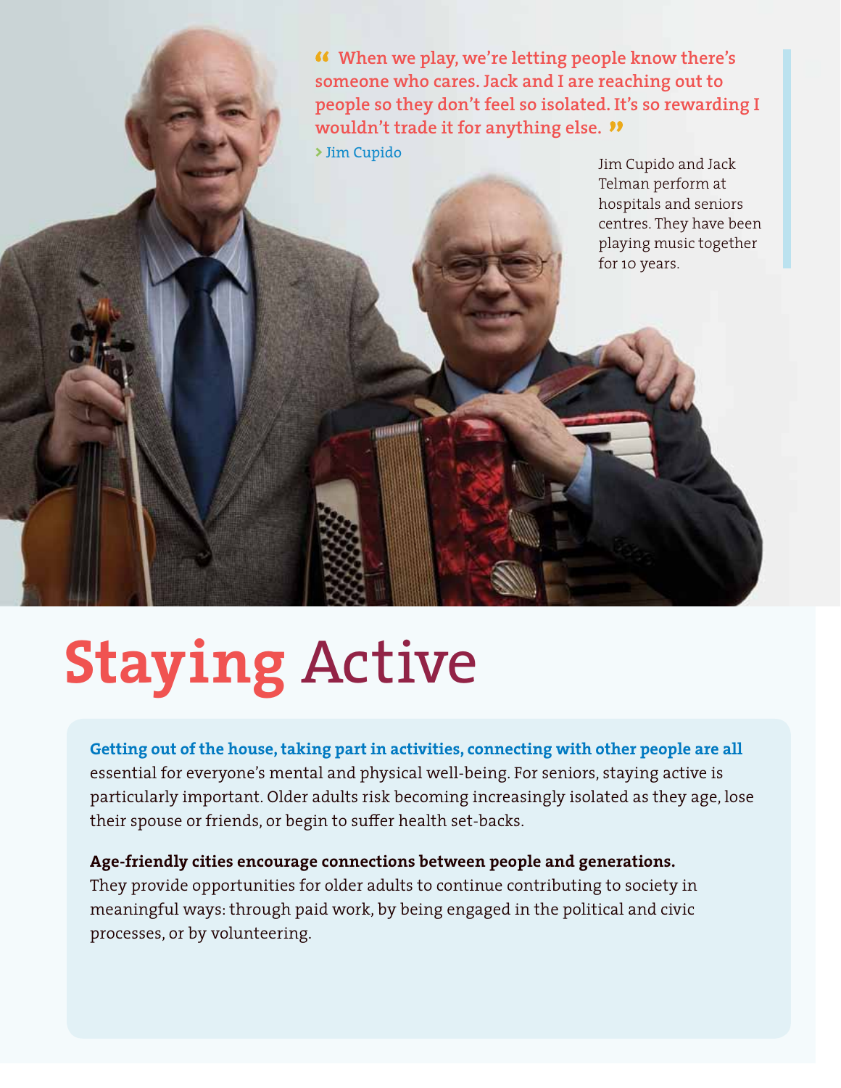**When we play, we're letting people know there's someone who cares. Jack and I are reaching out to people so they don't feel so isolated. It's so rewarding I wouldn't trade it for anything else. >** Jim Cupido

Jim Cupido and Jack Telman perform at hospitals and seniors centres. They have been playing music together for 10 years.

# **Staying** Active

**Getting out of the house, taking part in activities, connecting with other people are all**  essential for everyone's mental and physical well-being. For seniors, staying active is particularly important. Older adults risk becoming increasingly isolated as they age, lose their spouse or friends, or begin to suffer health set-backs.

#### **Age-friendly cities encourage connections between people and generations.**  They provide opportunities for older adults to continue contributing to society in meaningful ways: through paid work, by being engaged in the political and civic processes, or by volunteering.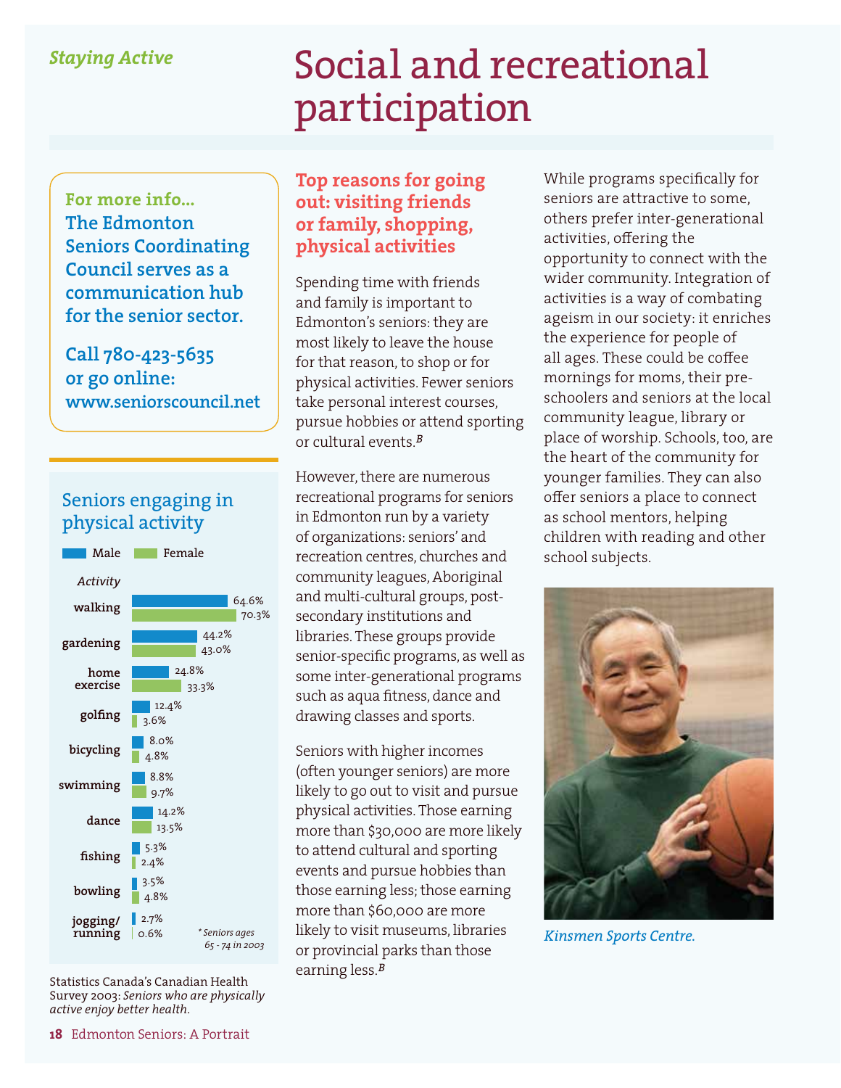#### *Staying Active*

## Social and recreational participation

**For more info... The Edmonton Seniors Coordinating Council serves as a communication hub for the senior sector.**

**Call 780-423-5635 or go online: www.seniorscouncil.net**

#### Seniors engaging in physical activity



Statistics Canada's Canadian Health Survey 2003: *Seniors who are physically active enjoy better health*.

#### **Top reasons for going out: visiting friends or family, shopping, physical activities**

Spending time with friends and family is important to Edmonton's seniors: they are most likely to leave the house for that reason, to shop or for physical activities. Fewer seniors take personal interest courses, pursue hobbies or attend sporting or cultural events.*<sup>B</sup>*

However, there are numerous recreational programs for seniors in Edmonton run by a variety of organizations: seniors' and recreation centres, churches and community leagues, Aboriginal and multi-cultural groups, postsecondary institutions and libraries. These groups provide senior-specific programs, as well as some inter-generational programs such as aqua fitness, dance and drawing classes and sports.

Seniors with higher incomes (often younger seniors) are more likely to go out to visit and pursue physical activities. Those earning more than \$30,000 are more likely to attend cultural and sporting events and pursue hobbies than those earning less; those earning more than \$60,000 are more likely to visit museums, libraries or provincial parks than those earning less.*<sup>B</sup>*

While programs specifically for seniors are attractive to some, others prefer inter-generational activities, offering the opportunity to connect with the wider community. Integration of activities is a way of combating ageism in our society: it enriches the experience for people of all ages. These could be coffee mornings for moms, their preschoolers and seniors at the local community league, library or place of worship. Schools, too, are the heart of the community for younger families. They can also offer seniors a place to connect as school mentors, helping children with reading and other school subjects.



*Kinsmen Sports Centre.*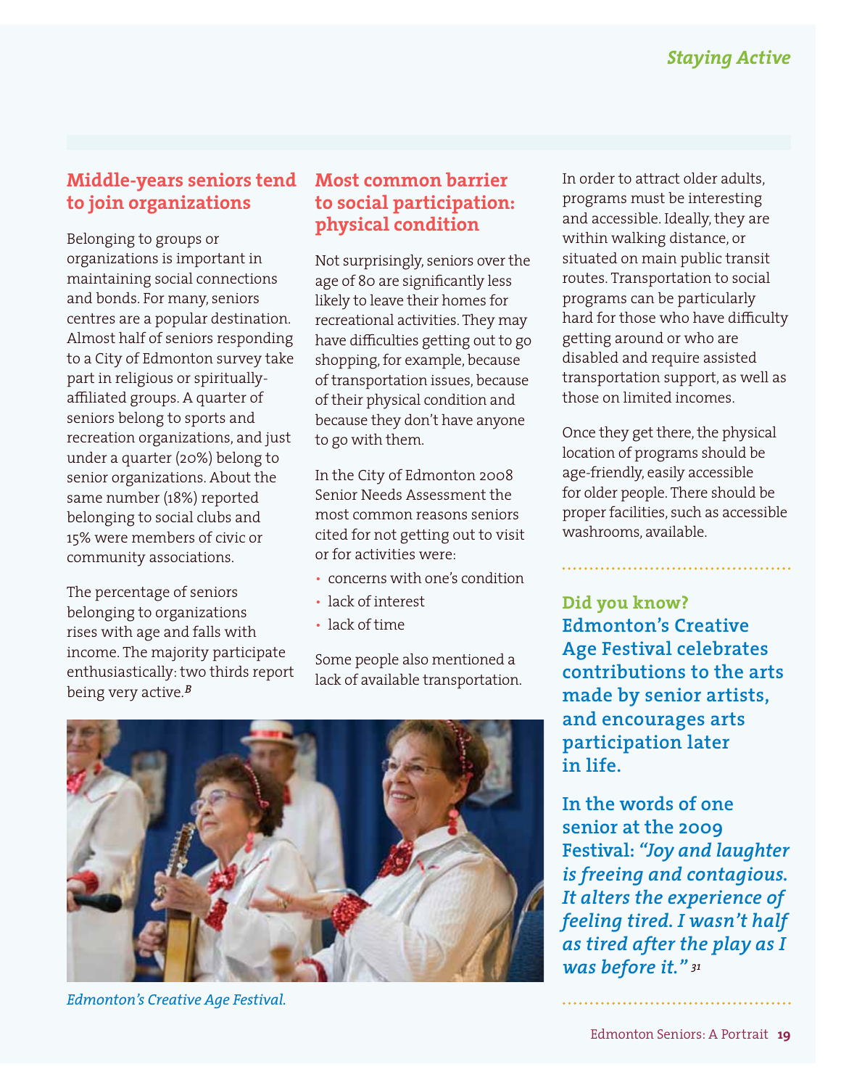#### **Middle-years seniors tend to join organizations**

Belonging to groups or organizations is important in maintaining social connections and bonds. For many, seniors centres are a popular destination. Almost half of seniors responding to a City of Edmonton survey take part in religious or spirituallyaffiliated groups. A quarter of seniors belong to sports and recreation organizations, and just under a quarter (20%) belong to senior organizations. About the same number (18%) reported belonging to social clubs and 15% were members of civic or community associations.

The percentage of seniors belonging to organizations rises with age and falls with income. The majority participate enthusiastically: two thirds report being very active.*<sup>B</sup>*

#### **Most common barrier to social participation: physical condition**

Not surprisingly, seniors over the age of 80 are significantly less likely to leave their homes for recreational activities. They may have difficulties getting out to go shopping, for example, because of transportation issues, because of their physical condition and because they don't have anyone to go with them.

In the City of Edmonton 2008 Senior Needs Assessment the most common reasons seniors cited for not getting out to visit or for activities were:

- concerns with one's condition
- lack of interest
- lack of time

Some people also mentioned a lack of available transportation.



*Edmonton's Creative Age Festival.*

In order to attract older adults, programs must be interesting and accessible. Ideally, they are within walking distance, or situated on main public transit routes. Transportation to social programs can be particularly hard for those who have difficulty getting around or who are disabled and require assisted transportation support, as well as those on limited incomes.

Once they get there, the physical location of programs should be age-friendly, easily accessible for older people. There should be proper facilities, such as accessible washrooms, available.

**Did you know? Edmonton's Creative Age Festival celebrates contributions to the arts made by senior artists, and encourages arts participation later in life.** 

**In the words of one senior at the 2009 Festival:** *"Joy and laughter is freeing and contagious. It alters the experience of feeling tired. I wasn't half as tired after the play as I was before it." <sup>31</sup>*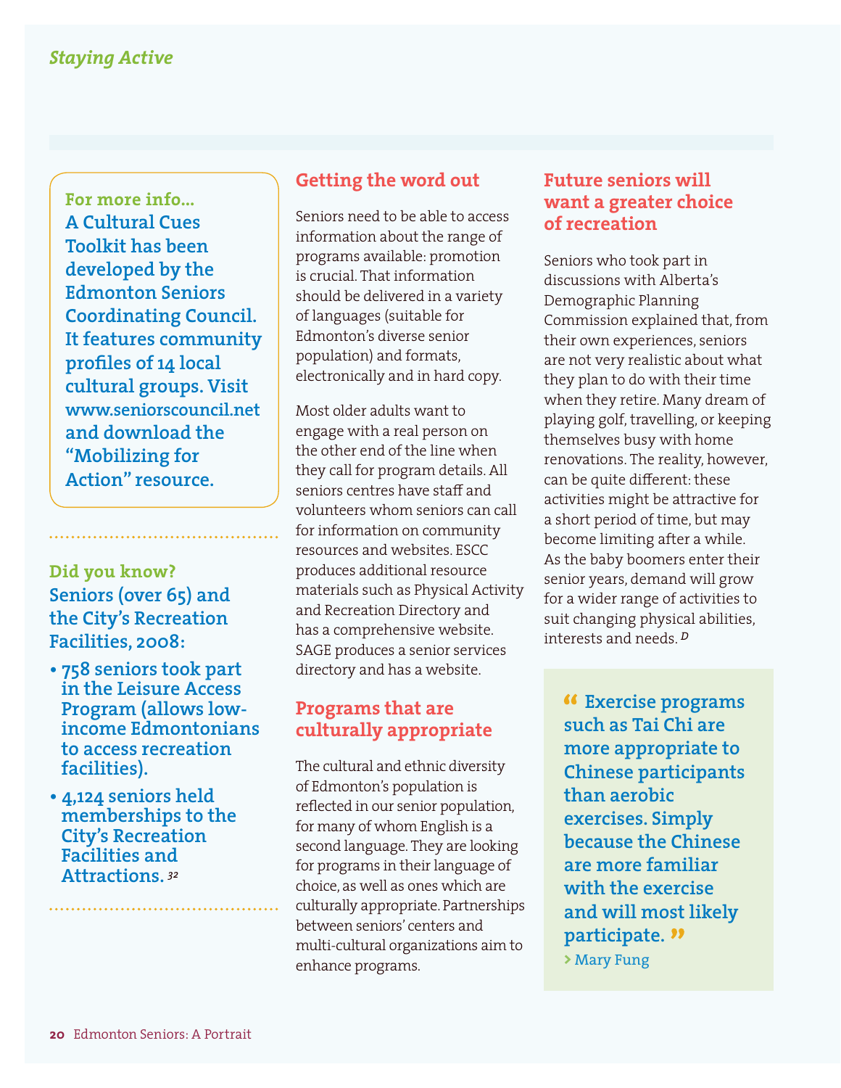**For more info... A Cultural Cues Toolkit has been developed by the Edmonton Seniors Coordinating Council. It features community profiles of 14 local cultural groups. Visit www.seniorscouncil.net and download the "Mobilizing for Action" resource.** 

#### **Did you know? Seniors (over 65) and the City's Recreation Facilities, 2008:**

- **758 seniors took part in the Leisure Access Program (allows lowincome Edmontonians to access recreation facilities).**
- **4,124 seniors held memberships to the City's Recreation Facilities and Attractions.** *<sup>32</sup>*

#### **Getting the word out**

Seniors need to be able to access information about the range of programs available: promotion is crucial. That information should be delivered in a variety of languages (suitable for Edmonton's diverse senior population) and formats, electronically and in hard copy.

Most older adults want to engage with a real person on the other end of the line when they call for program details. All seniors centres have staff and volunteers whom seniors can call for information on community resources and websites. ESCC produces additional resource materials such as Physical Activity and Recreation Directory and has a comprehensive website. SAGE produces a senior services directory and has a website.

#### **Programs that are culturally appropriate**

The cultural and ethnic diversity of Edmonton's population is reflected in our senior population, for many of whom English is a second language. They are looking for programs in their language of choice, as well as ones which are culturally appropriate. Partnerships between seniors' centers and multi-cultural organizations aim to enhance programs.

#### **Future seniors will want a greater choice of recreation**

Seniors who took part in discussions with Alberta's Demographic Planning Commission explained that, from their own experiences, seniors are not very realistic about what they plan to do with their time when they retire. Many dream of playing golf, travelling, or keeping themselves busy with home renovations. The reality, however, can be quite different: these activities might be attractive for a short period of time, but may become limiting after a while. As the baby boomers enter their senior years, demand will grow for a wider range of activities to suit changing physical abilities, interests and needs. *<sup>D</sup>*

 **Exercise programs such as Tai Chi are more appropriate to Chinese participants than aerobic exercises. Simply because the Chinese are more familiar with the exercise and will most likely participate.**

**>** Mary Fung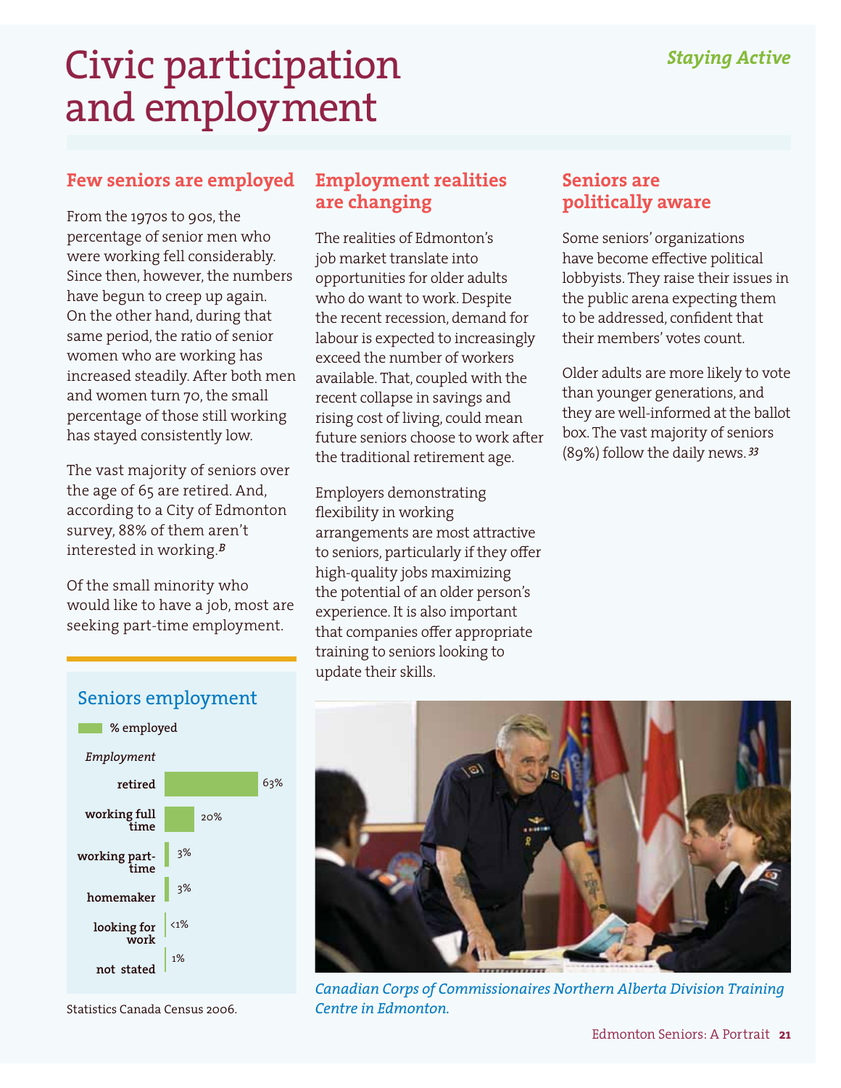## Civic participation and employment

#### **Few seniors are employed**

From the 1970s to 90s, the percentage of senior men who were working fell considerably. Since then, however, the numbers have begun to creep up again. On the other hand, during that same period, the ratio of senior women who are working has increased steadily. After both men and women turn 70, the small percentage of those still working has stayed consistently low.

The vast majority of seniors over the age of 65 are retired. And, according to a City of Edmonton survey, 88% of them aren't interested in working.*<sup>B</sup>*

Of the small minority who would like to have a job, most are seeking part-time employment.

### **Employment realities are changing**

The realities of Edmonton's job market translate into opportunities for older adults who do want to work. Despite the recent recession, demand for labour is expected to increasingly exceed the number of workers available. That, coupled with the recent collapse in savings and rising cost of living, could mean future seniors choose to work after the traditional retirement age.

Employers demonstrating flexibility in working arrangements are most attractive to seniors, particularly if they offer high-quality jobs maximizing the potential of an older person's experience. It is also important that companies offer appropriate training to seniors looking to update their skills.

#### **Seniors are politically aware**

Some seniors' organizations have become effective political lobbyists. They raise their issues in the public arena expecting them to be addressed, confident that their members' votes count.

Older adults are more likely to vote than younger generations, and they are well-informed at the ballot box. The vast majority of seniors (89%) follow the daily news. *<sup>33</sup>*



Statistics Canada Census 2006.



*Canadian Corps of Commissionaires Northern Alberta Division Training Centre in Edmonton.*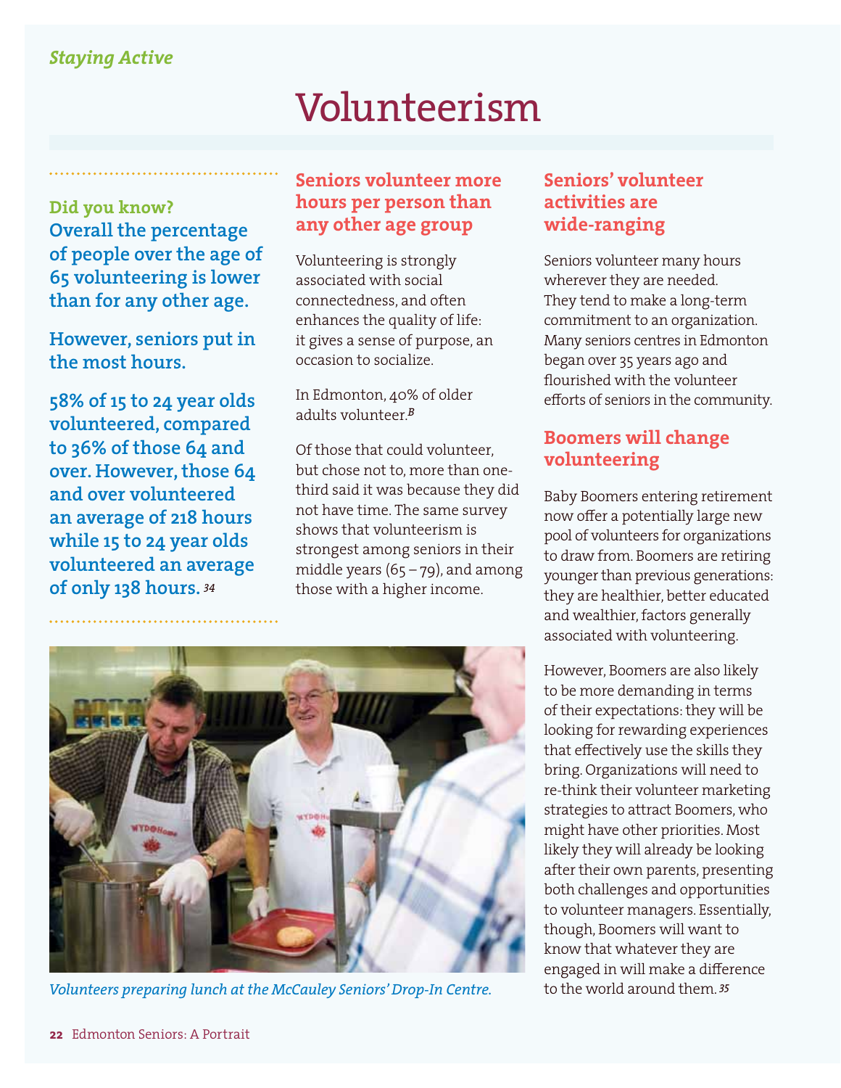#### *Staying Active*

## Volunteerism

**Did you know? Overall the percentage of people over the age of 65 volunteering is lower than for any other age.** 

**However, seniors put in the most hours.** 

**58% of 15 to 24 year olds volunteered, compared to 36% of those 64 and over. However, those 64 and over volunteered an average of 218 hours while 15 to 24 year olds volunteered an average of only 138 hours.** *<sup>34</sup>*

#### **Seniors volunteer more hours per person than any other age group**

Volunteering is strongly associated with social connectedness, and often enhances the quality of life: it gives a sense of purpose, an occasion to socialize.

In Edmonton, 40% of older adults volunteer.*<sup>B</sup>*

Of those that could volunteer, but chose not to, more than onethird said it was because they did not have time. The same survey shows that volunteerism is strongest among seniors in their middle years  $(65 - 79)$ , and among those with a higher income.

#### **Seniors' volunteer activities are wide-ranging**

Seniors volunteer many hours wherever they are needed. They tend to make a long-term commitment to an organization. Many seniors centres in Edmonton began over 35 years ago and flourished with the volunteer efforts of seniors in the community.

#### **Boomers will change volunteering**

Baby Boomers entering retirement now offer a potentially large new pool of volunteers for organizations to draw from. Boomers are retiring younger than previous generations: they are healthier, better educated and wealthier, factors generally associated with volunteering.

However, Boomers are also likely to be more demanding in terms of their expectations: they will be looking for rewarding experiences that effectively use the skills they bring. Organizations will need to re-think their volunteer marketing strategies to attract Boomers, who might have other priorities. Most likely they will already be looking after their own parents, presenting both challenges and opportunities to volunteer managers. Essentially, though, Boomers will want to know that whatever they are engaged in will make a difference



Volunteers preparing lunch at the McCauley Seniors' Drop-In Centre. **1998** to the world around them. <sup>35</sup>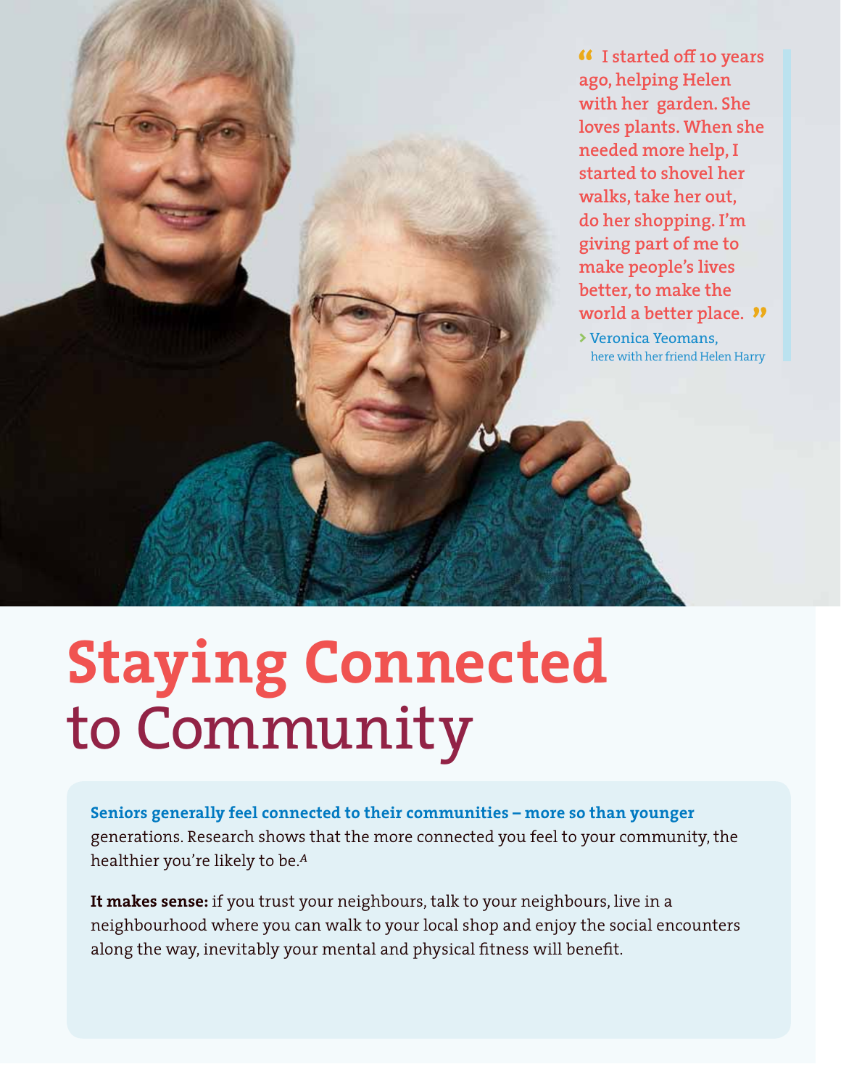**I started off 10 years ago, helping Helen with her garden. She loves plants. When she needed more help, I started to shovel her walks, take her out, do her shopping. I'm giving part of me to make people's lives better, to make the world a better place. >** Veronica Yeomans, here with her friend Helen Harry

R L

# **Staying Connected** to Community

**Seniors generally feel connected to their communities – more so than younger**  generations. Research shows that the more connected you feel to your community, the healthier you're likely to be.*<sup>A</sup>*

**It makes sense:** if you trust your neighbours, talk to your neighbours, live in a neighbourhood where you can walk to your local shop and enjoy the social encounters along the way, inevitably your mental and physical fitness will benefit.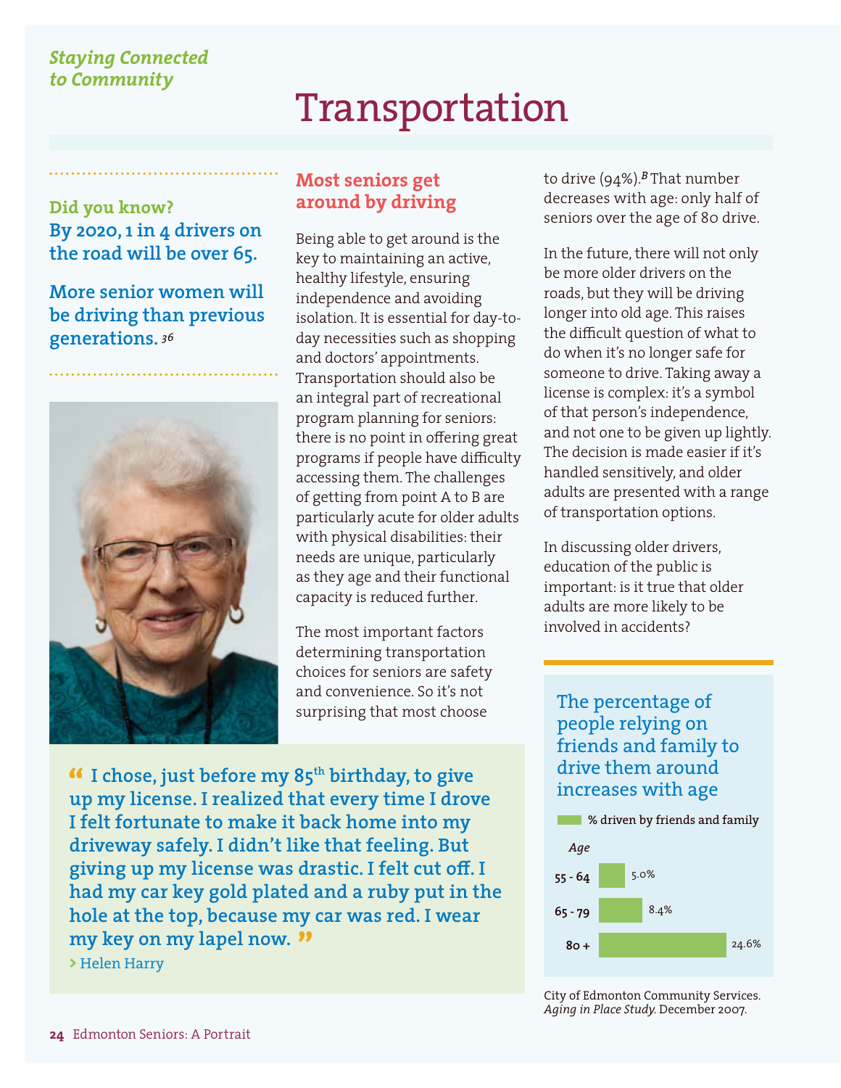### Transportation

**Did you know? By 2020, 1 in 4 drivers on the road will be over 65.** 

**More senior women will be driving than previous generations.** *<sup>36</sup>*



#### **Most seniors get around by driving**

Being able to get around is the key to maintaining an active, healthy lifestyle, ensuring independence and avoiding isolation. It is essential for day-today necessities such as shopping and doctors' appointments. Transportation should also be an integral part of recreational program planning for seniors: there is no point in offering great programs if people have difficulty accessing them. The challenges of getting from point A to B are particularly acute for older adults with physical disabilities: their needs are unique, particularly as they age and their functional capacity is reduced further.

The most important factors determining transportation choices for seniors are safety and convenience. So it's not surprising that most choose

**<sup>46</sup>** I chose, just before my 85<sup>th</sup> birthday, to give **up my license. I realized that every time I drove I felt fortunate to make it back home into my driveway safely. I didn't like that feeling. But giving up my license was drastic. I felt cut off. I had my car key gold plated and a ruby put in the hole at the top, because my car was red. I wear my key on my lapel now.** 

**>** Helen Harry

to drive (94%).*B* That number decreases with age: only half of seniors over the age of 80 drive.

In the future, there will not only be more older drivers on the roads, but they will be driving longer into old age. This raises the difficult question of what to do when it's no longer safe for someone to drive. Taking away a license is complex: it's a symbol of that person's independence, and not one to be given up lightly. The decision is made easier if it's handled sensitively, and older adults are presented with a range of transportation options.

In discussing older drivers, education of the public is important: is it true that older adults are more likely to be involved in accidents?

The percentage of people relying on friends and family to drive them around increases with age





City of Edmonton Community Services. *Aging in Place Study.* December 2007.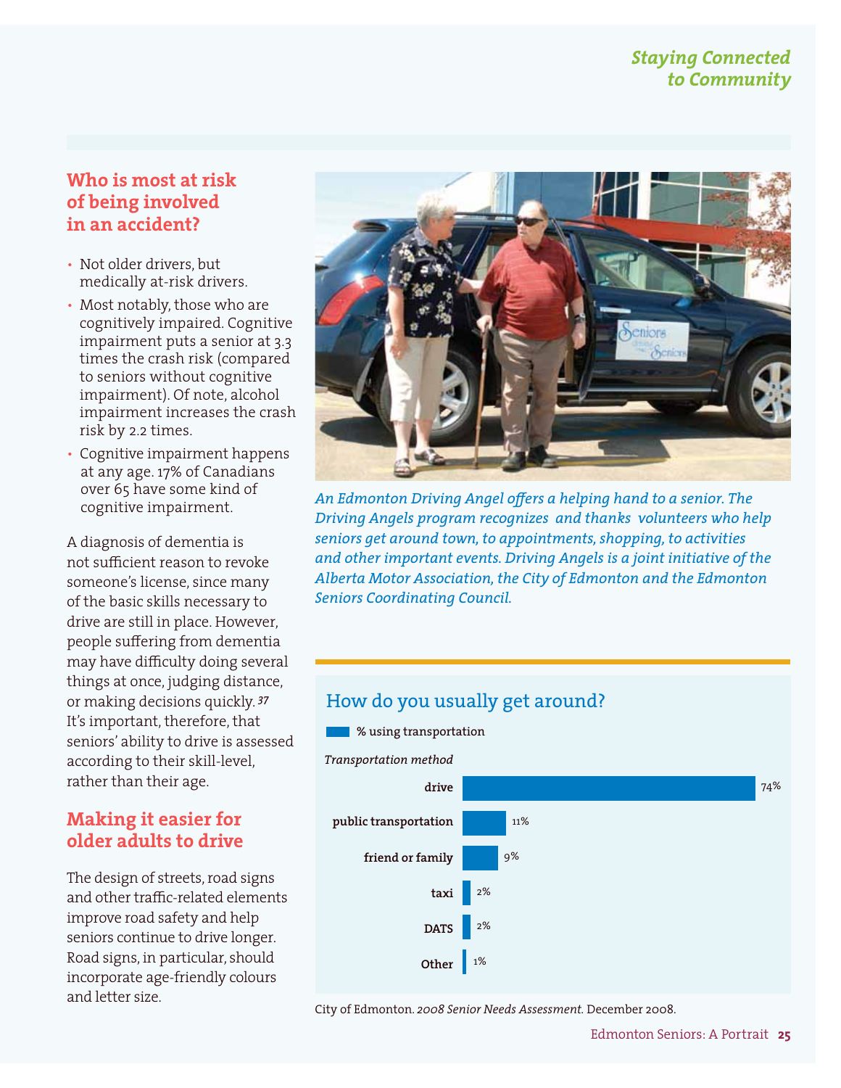#### **Who is most at risk of being involved in an accident?**

- Not older drivers, but medically at-risk drivers.
- Most notably, those who are cognitively impaired. Cognitive impairment puts a senior at 3.3 times the crash risk (compared to seniors without cognitive impairment). Of note, alcohol impairment increases the crash risk by 2.2 times.
- Cognitive impairment happens at any age. 17% of Canadians over 65 have some kind of cognitive impairment.

A diagnosis of dementia is not sufficient reason to revoke someone's license, since many of the basic skills necessary to drive are still in place. However, people suffering from dementia may have difficulty doing several things at once, judging distance, or making decisions quickly. *<sup>37</sup>* It's important, therefore, that seniors' ability to drive is assessed according to their skill-level, rather than their age.

#### **Making it easier for older adults to drive**

The design of streets, road signs and other traffic-related elements improve road safety and help seniors continue to drive longer. Road signs, in particular, should incorporate age-friendly colours and letter size.



*An Edmonton Driving Angel offers a helping hand to a senior. The Driving Angels program recognizes and thanks volunteers who help seniors get around town, to appointments, shopping, to activities and other important events. Driving Angels is a joint initiative of the Alberta Motor Association, the City of Edmonton and the Edmonton Seniors Coordinating Council.*

#### How do you usually get around?



City of Edmonton. *2008 Senior Needs Assessment.* December 2008.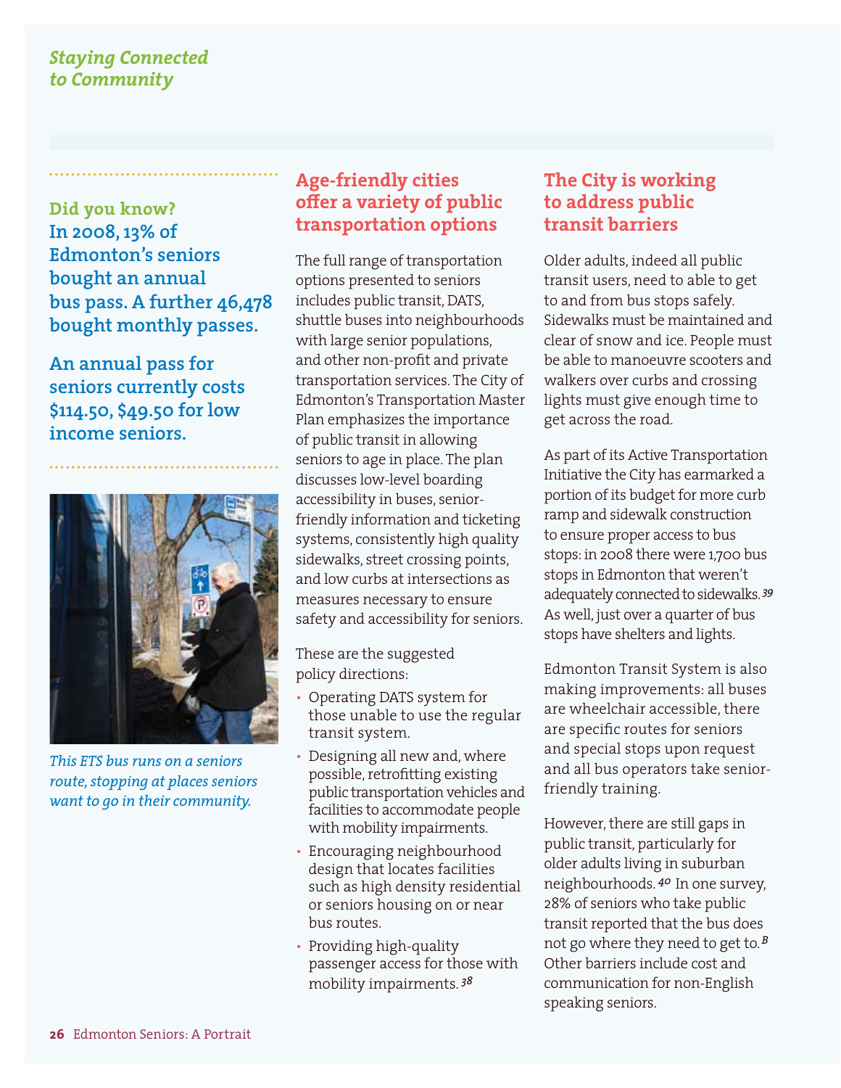**Did you know? In 2008, 13% of Edmonton's seniors bought an annual bus pass. A further 46,478 bought monthly passes.**

**An annual pass for seniors currently costs \$114.50, \$49.50 for low income seniors.**



*This ETS bus runs on a seniors route, stopping at places seniors want to go in their community.*

#### **Age-friendly cities offer a variety of public transportation options**

The full range of transportation options presented to seniors includes public transit, DATS, shuttle buses into neighbourhoods with large senior populations, and other non-profit and private transportation services. The City of Edmonton's Transportation Master Plan emphasizes the importance of public transit in allowing seniors to age in place. The plan discusses low-level boarding accessibility in buses, seniorfriendly information and ticketing systems, consistently high quality sidewalks, street crossing points, and low curbs at intersections as measures necessary to ensure safety and accessibility for seniors.

These are the suggested policy directions:

- Operating DATS system for those unable to use the regular transit system.
- Designing all new and, where possible, retrofitting existing public transportation vehicles and facilities to accommodate people with mobility impairments.
- Encouraging neighbourhood design that locates facilities such as high density residential or seniors housing on or near bus routes.
- Providing high-quality passenger access for those with mobility impairments. *<sup>38</sup>*

#### **The City is working to address public transit barriers**

Older adults, indeed all public transit users, need to able to get to and from bus stops safely. Sidewalks must be maintained and clear of snow and ice. People must be able to manoeuvre scooters and walkers over curbs and crossing lights must give enough time to get across the road.

As part of its Active Transportation Initiative the City has earmarked a portion of its budget for more curb ramp and sidewalk construction to ensure proper access to bus stops: in 2008 there were 1,700 bus stops in Edmonton that weren't adequately connected to sidewalks. *<sup>39</sup>* As well, just over a quarter of bus stops have shelters and lights.

Edmonton Transit System is also making improvements: all buses are wheelchair accessible, there are specific routes for seniors and special stops upon request and all bus operators take seniorfriendly training.

However, there are still gaps in public transit, particularly for older adults living in suburban neighbourhoods. *40* In one survey, 28% of seniors who take public transit reported that the bus does not go where they need to get to.*<sup>B</sup>* Other barriers include cost and communication for non-English speaking seniors.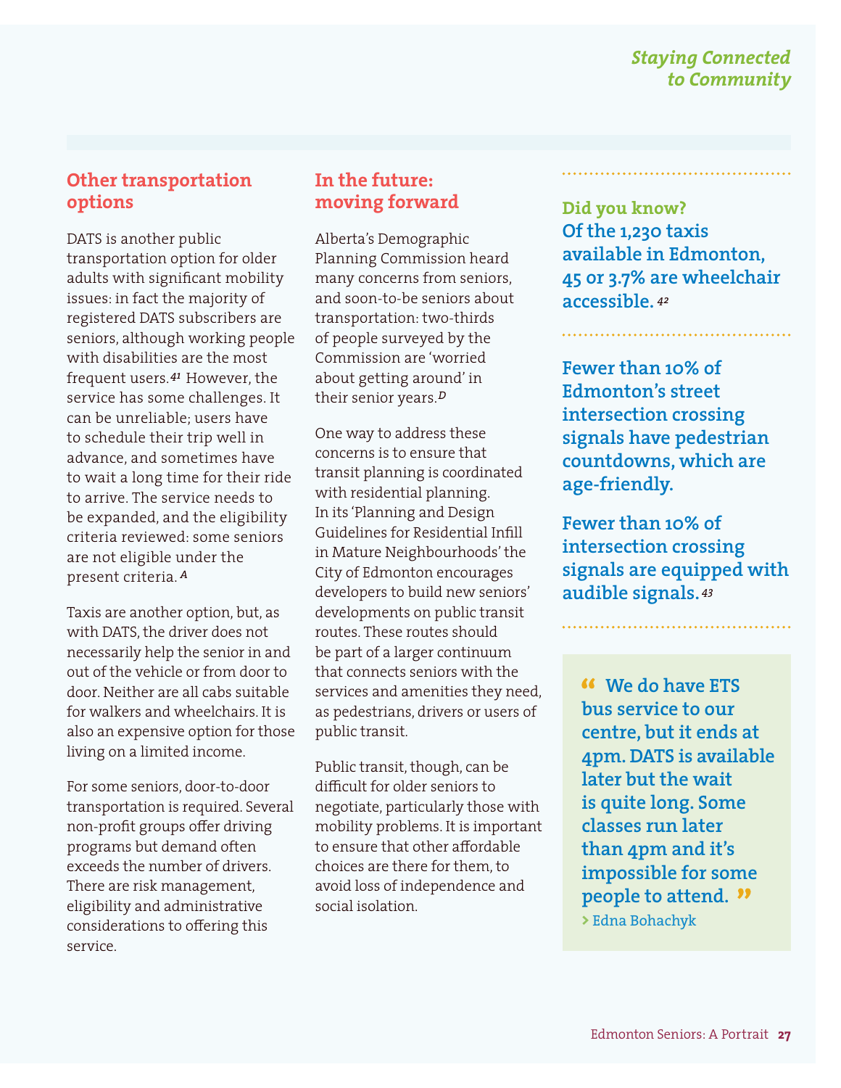#### **Other transportation options**

DATS is another public transportation option for older adults with significant mobility issues: in fact the majority of registered DATS subscribers are seniors, although working people with disabilities are the most frequent users.<sup>41</sup> However, the service has some challenges. It can be unreliable; users have to schedule their trip well in advance, and sometimes have to wait a long time for their ride to arrive. The service needs to be expanded, and the eligibility criteria reviewed: some seniors are not eligible under the present criteria. *<sup>A</sup>*

Taxis are another option, but, as with DATS, the driver does not necessarily help the senior in and out of the vehicle or from door to door. Neither are all cabs suitable for walkers and wheelchairs. It is also an expensive option for those living on a limited income.

For some seniors, door-to-door transportation is required. Several non-profit groups offer driving programs but demand often exceeds the number of drivers. There are risk management, eligibility and administrative considerations to offering this service.

#### **In the future: moving forward**

Alberta's Demographic Planning Commission heard many concerns from seniors, and soon-to-be seniors about transportation: two-thirds of people surveyed by the Commission are 'worried about getting around' in their senior years.*<sup>D</sup>*

One way to address these concerns is to ensure that transit planning is coordinated with residential planning. In its 'Planning and Design Guidelines for Residential Infill in Mature Neighbourhoods' the City of Edmonton encourages developers to build new seniors' developments on public transit routes. These routes should be part of a larger continuum that connects seniors with the services and amenities they need, as pedestrians, drivers or users of public transit.

Public transit, though, can be difficult for older seniors to negotiate, particularly those with mobility problems. It is important to ensure that other affordable choices are there for them, to avoid loss of independence and social isolation.

**Did you know? Of the 1,230 taxis available in Edmonton, 45 or 3.7% are wheelchair accessible.** *<sup>42</sup>*

**Fewer than 10% of Edmonton's street intersection crossing signals have pedestrian countdowns, which are age-friendly.**

**Fewer than 10% of intersection crossing signals are equipped with audible signals.** *<sup>43</sup>*

 **We do have ETS bus service to our centre, but it ends at 4pm. DATS is available later but the wait is quite long. Some classes run later than 4pm and it's impossible for some people to attend. >** Edna Bohachyk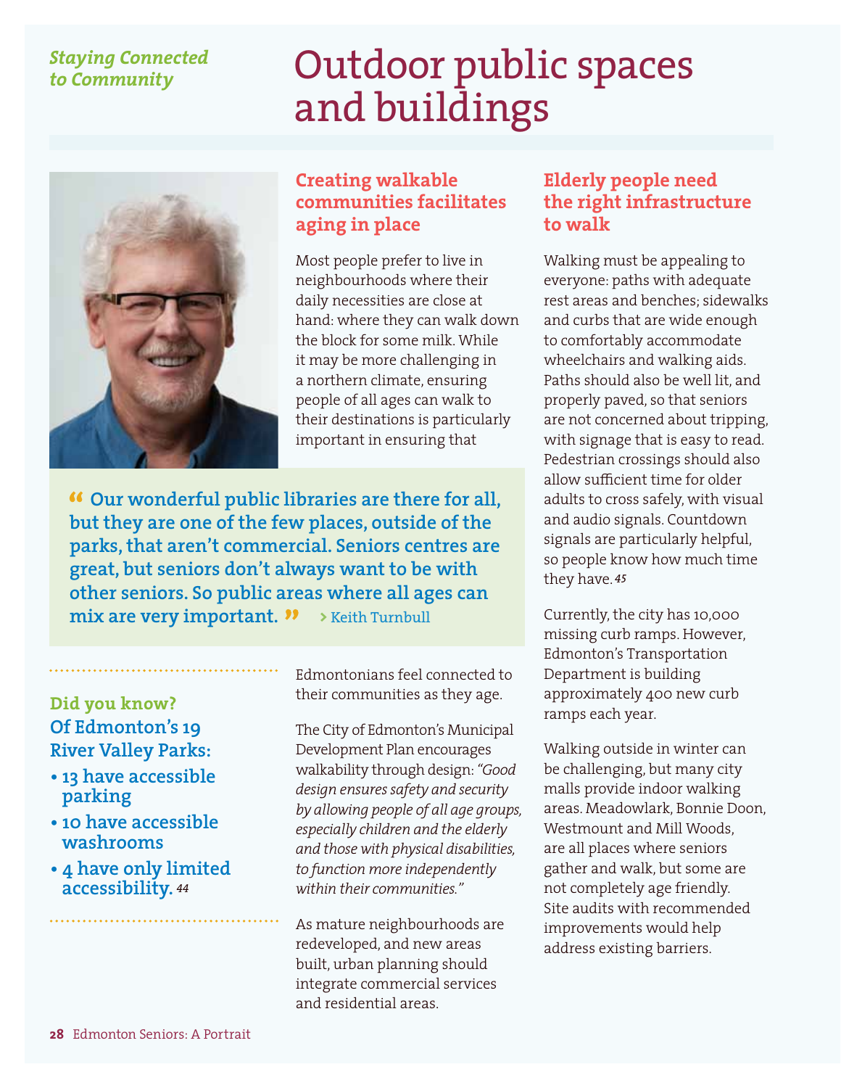## Outdoor public spaces and buildings



#### **Creating walkable communities facilitates aging in place**

Most people prefer to live in neighbourhoods where their daily necessities are close at hand: where they can walk down the block for some milk. While it may be more challenging in a northern climate, ensuring people of all ages can walk to their destinations is particularly important in ensuring that

 **Our wonderful public libraries are there for all, but they are one of the few places, outside of the parks, that aren't commercial. Seniors centres are great, but seniors don't always want to be with other seniors. So public areas where all ages can mix are very important.**  $\rightarrow$  Keith Turnbull

#### **Did you know? Of Edmonton's 19 River Valley Parks:**

- **13 have accessible parking**
- **10 have accessible washrooms**
- **4 have only limited accessibility.** *<sup>44</sup>*

Edmontonians feel connected to their communities as they age.

The City of Edmonton's Municipal Development Plan encourages walkability through design: *"Good design ensures safety and security by allowing people of all age groups, especially children and the elderly and those with physical disabilities, to function more independently within their communities."*

As mature neighbourhoods are redeveloped, and new areas built, urban planning should integrate commercial services and residential areas.

#### **Elderly people need the right infrastructure to walk**

Walking must be appealing to everyone: paths with adequate rest areas and benches; sidewalks and curbs that are wide enough to comfortably accommodate wheelchairs and walking aids. Paths should also be well lit, and properly paved, so that seniors are not concerned about tripping, with signage that is easy to read. Pedestrian crossings should also allow sufficient time for older adults to cross safely, with visual and audio signals. Countdown signals are particularly helpful, so people know how much time they have. *<sup>45</sup>*

Currently, the city has 10,000 missing curb ramps. However, Edmonton's Transportation Department is building approximately 400 new curb ramps each year.

Walking outside in winter can be challenging, but many city malls provide indoor walking areas. Meadowlark, Bonnie Doon, Westmount and Mill Woods, are all places where seniors gather and walk, but some are not completely age friendly. Site audits with recommended improvements would help address existing barriers.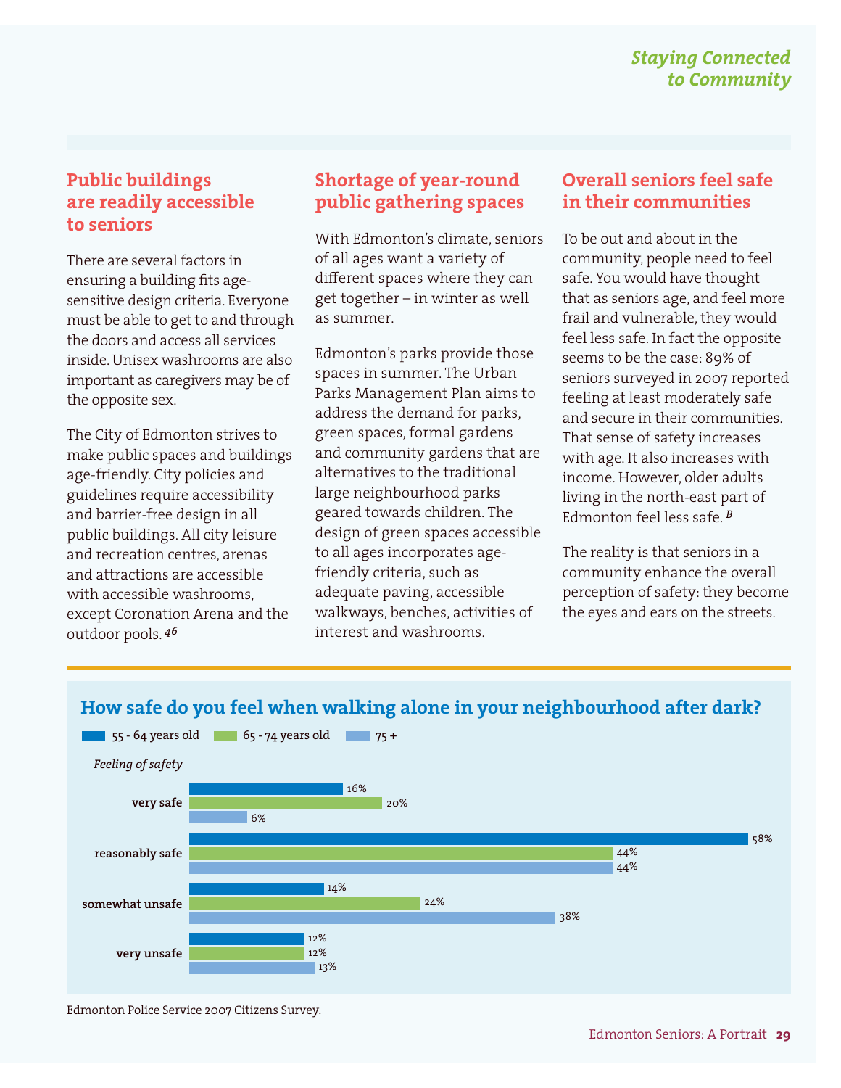#### **Public buildings are readily accessible to seniors**

There are several factors in ensuring a building fits agesensitive design criteria. Everyone must be able to get to and through the doors and access all services inside. Unisex washrooms are also important as caregivers may be of the opposite sex.

The City of Edmonton strives to make public spaces and buildings age-friendly. City policies and guidelines require accessibility and barrier-free design in all public buildings. All city leisure and recreation centres, arenas and attractions are accessible with accessible washrooms, except Coronation Arena and the outdoor pools. *<sup>46</sup>*

### **Shortage of year-round public gathering spaces**

With Edmonton's climate, seniors of all ages want a variety of different spaces where they can get together – in winter as well as summer.

Edmonton's parks provide those spaces in summer. The Urban Parks Management Plan aims to address the demand for parks, green spaces, formal gardens and community gardens that are alternatives to the traditional large neighbourhood parks geared towards children. The design of green spaces accessible to all ages incorporates agefriendly criteria, such as adequate paving, accessible walkways, benches, activities of interest and washrooms.

#### **Overall seniors feel safe in their communities**

To be out and about in the community, people need to feel safe. You would have thought that as seniors age, and feel more frail and vulnerable, they would feel less safe. In fact the opposite seems to be the case: 89% of seniors surveyed in 2007 reported feeling at least moderately safe and secure in their communities. That sense of safety increases with age. It also increases with income. However, older adults living in the north-east part of Edmonton feel less safe. *<sup>B</sup>*

The reality is that seniors in a community enhance the overall perception of safety: they become the eyes and ears on the streets.



#### **How safe do you feel when walking alone in your neighbourhood after dark?**

Edmonton Police Service 2007 Citizens Survey.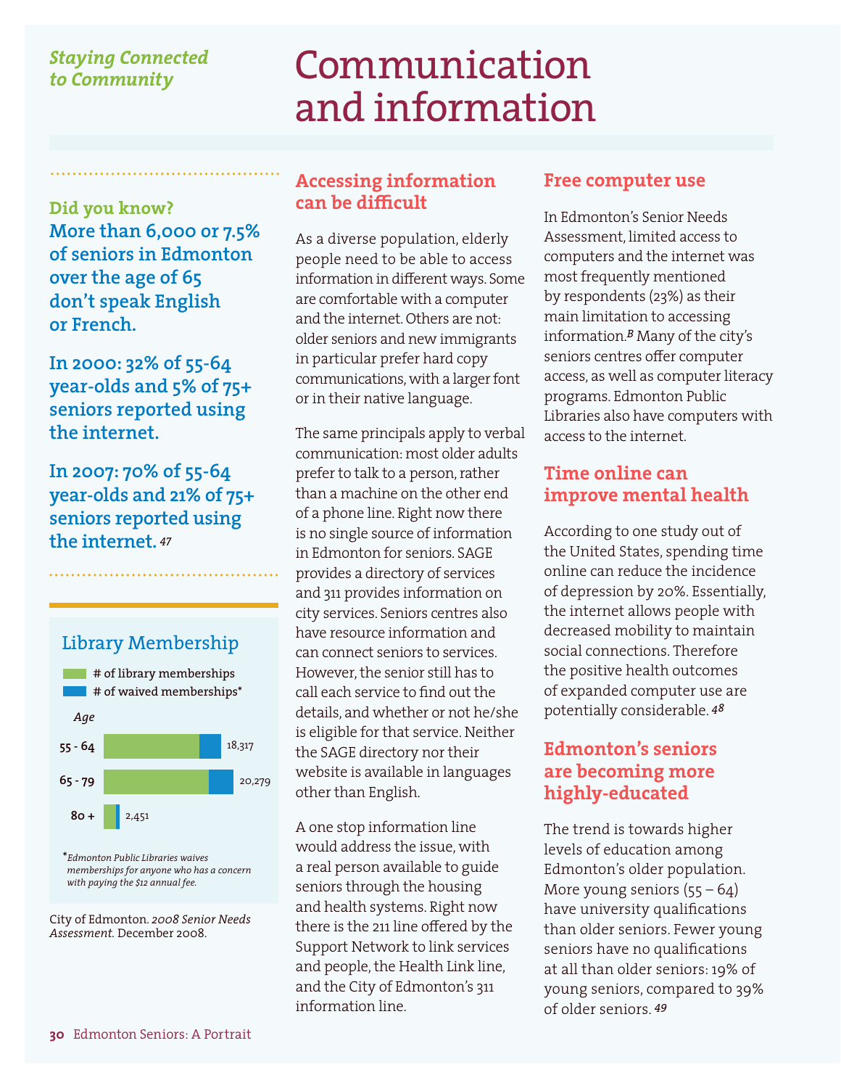### Communication and information

**Did you know? More than 6,000 or 7.5% of seniors in Edmonton over the age of 65 don't speak English or French.** 

**In 2000: 32% of 55-64 year-olds and 5% of 75+ seniors reported using the internet.**

**In 2007: 70% of 55-64 year-olds and 21% of 75+ seniors reported using the internet.** *<sup>47</sup>*



City of Edmonton. *2008 Senior Needs Assessment.* December 2008.

#### **Accessing information can be difficult**

As a diverse population, elderly people need to be able to access information in different ways. Some are comfortable with a computer and the internet. Others are not: older seniors and new immigrants in particular prefer hard copy communications, with a larger font or in their native language.

The same principals apply to verbal communication: most older adults prefer to talk to a person, rather than a machine on the other end of a phone line. Right now there is no single source of information in Edmonton for seniors. SAGE provides a directory of services and 311 provides information on city services. Seniors centres also have resource information and can connect seniors to services. However, the senior still has to call each service to find out the details, and whether or not he/she is eligible for that service. Neither the SAGE directory nor their website is available in languages other than English.

A one stop information line would address the issue, with a real person available to guide seniors through the housing and health systems. Right now there is the 211 line offered by the Support Network to link services and people, the Health Link line, and the City of Edmonton's 311 information line.

#### **Free computer use**

In Edmonton's Senior Needs Assessment, limited access to computers and the internet was most frequently mentioned by respondents (23%) as their main limitation to accessing information.*B* Many of the city's seniors centres offer computer access, as well as computer literacy programs. Edmonton Public Libraries also have computers with access to the internet.

#### **Time online can improve mental health**

According to one study out of the United States, spending time online can reduce the incidence of depression by 20%. Essentially, the internet allows people with decreased mobility to maintain social connections. Therefore the positive health outcomes of expanded computer use are potentially considerable. *<sup>48</sup>*

#### **Edmonton's seniors are becoming more highly-educated**

The trend is towards higher levels of education among Edmonton's older population. More young seniors  $(55 - 64)$ have university qualifications than older seniors. Fewer young seniors have no qualifications at all than older seniors: 19% of young seniors, compared to 39% of older seniors. *<sup>49</sup>*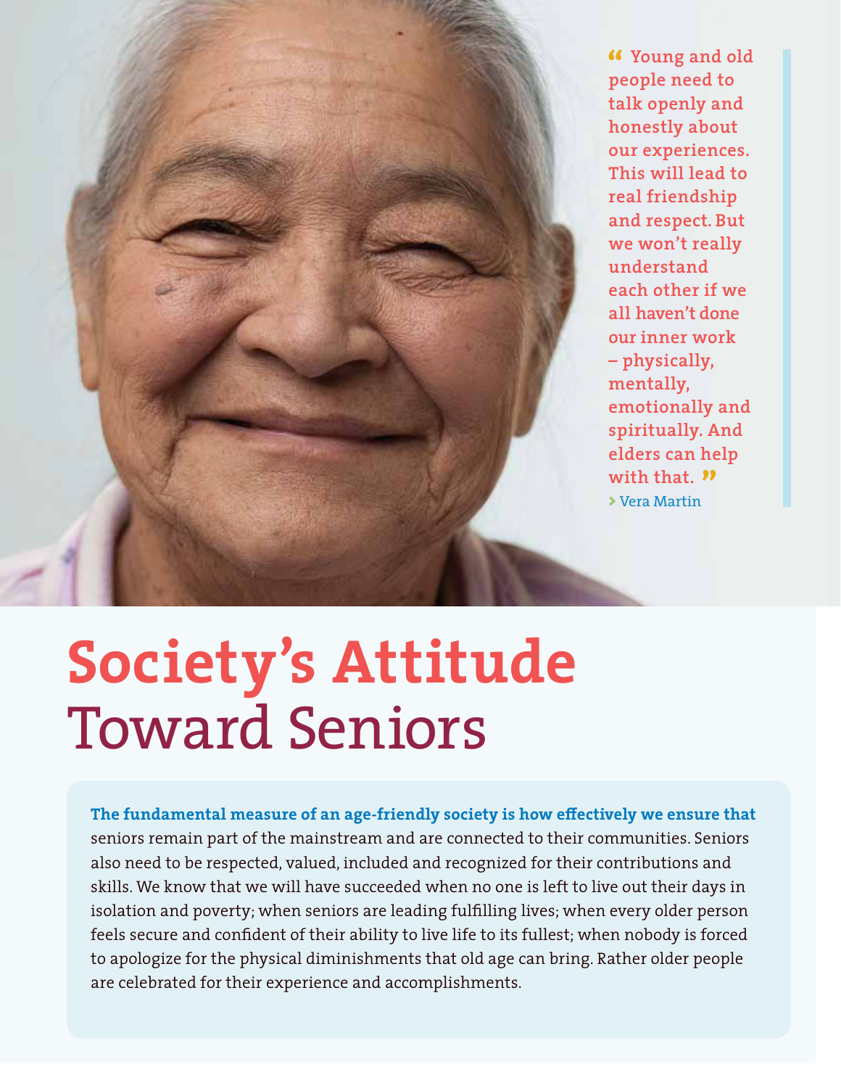**Young and old people need to talk openly and honestly about our experiences. This will lead to real friendship and respect. But we won't really understand each other if we all haven't done our inner work – physically, mentally, emotionally and spiritually. And elders can help with that. >** Vera Martin

# **Society's Attitude** Toward Seniors

**The fundamental measure of an age-friendly society is how effectively we ensure that**  seniors remain part of the mainstream and are connected to their communities. Seniors also need to be respected, valued, included and recognized for their contributions and skills. We know that we will have succeeded when no one is left to live out their days in isolation and poverty; when seniors are leading fulfilling lives; when every older person feels secure and confident of their ability to live life to its fullest; when nobody is forced to apologize for the physical diminishments that old age can bring. Rather older people are celebrated for their experience and accomplishments.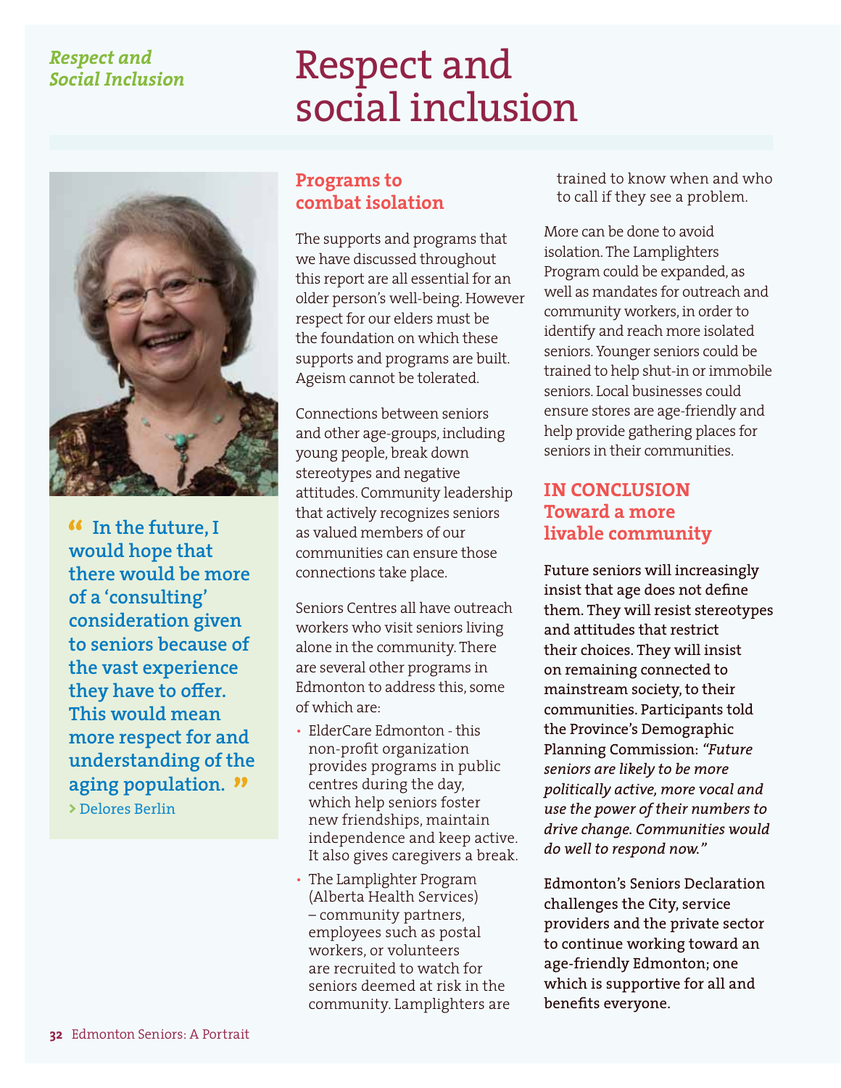#### *Respect and Social Inclusion*

## Respect and social inclusion



 **In the future, I would hope that there would be more of a 'consulting' consideration given to seniors because of the vast experience they have to offer. This would mean more respect for and understanding of the aging population.**

**>** Delores Berlin

#### **Programs to combat isolation**

The supports and programs that we have discussed throughout this report are all essential for an older person's well-being. However respect for our elders must be the foundation on which these supports and programs are built. Ageism cannot be tolerated.

Connections between seniors and other age-groups, including young people, break down stereotypes and negative attitudes. Community leadership that actively recognizes seniors as valued members of our communities can ensure those connections take place.

Seniors Centres all have outreach workers who visit seniors living alone in the community. There are several other programs in Edmonton to address this, some of which are:

- ElderCare Edmonton this non-profit organization provides programs in public centres during the day, which help seniors foster new friendships, maintain independence and keep active. It also gives caregivers a break.
- The Lamplighter Program (Alberta Health Services) – community partners, employees such as postal workers, or volunteers are recruited to watch for seniors deemed at risk in the community. Lamplighters are

trained to know when and who to call if they see a problem.

More can be done to avoid isolation. The Lamplighters Program could be expanded, as well as mandates for outreach and community workers, in order to identify and reach more isolated seniors. Younger seniors could be trained to help shut-in or immobile seniors. Local businesses could ensure stores are age-friendly and help provide gathering places for seniors in their communities.

#### **IN CONCLUSION Toward a more livable community**

Future seniors will increasingly insist that age does not define them. They will resist stereotypes and attitudes that restrict their choices. They will insist on remaining connected to mainstream society, to their communities. Participants told the Province's Demographic Planning Commission: *"Future seniors are likely to be more politically active, more vocal and use the power of their numbers to drive change. Communities would do well to respond now."*

Edmonton's Seniors Declaration challenges the City, service providers and the private sector to continue working toward an age-friendly Edmonton; one which is supportive for all and benefits everyone.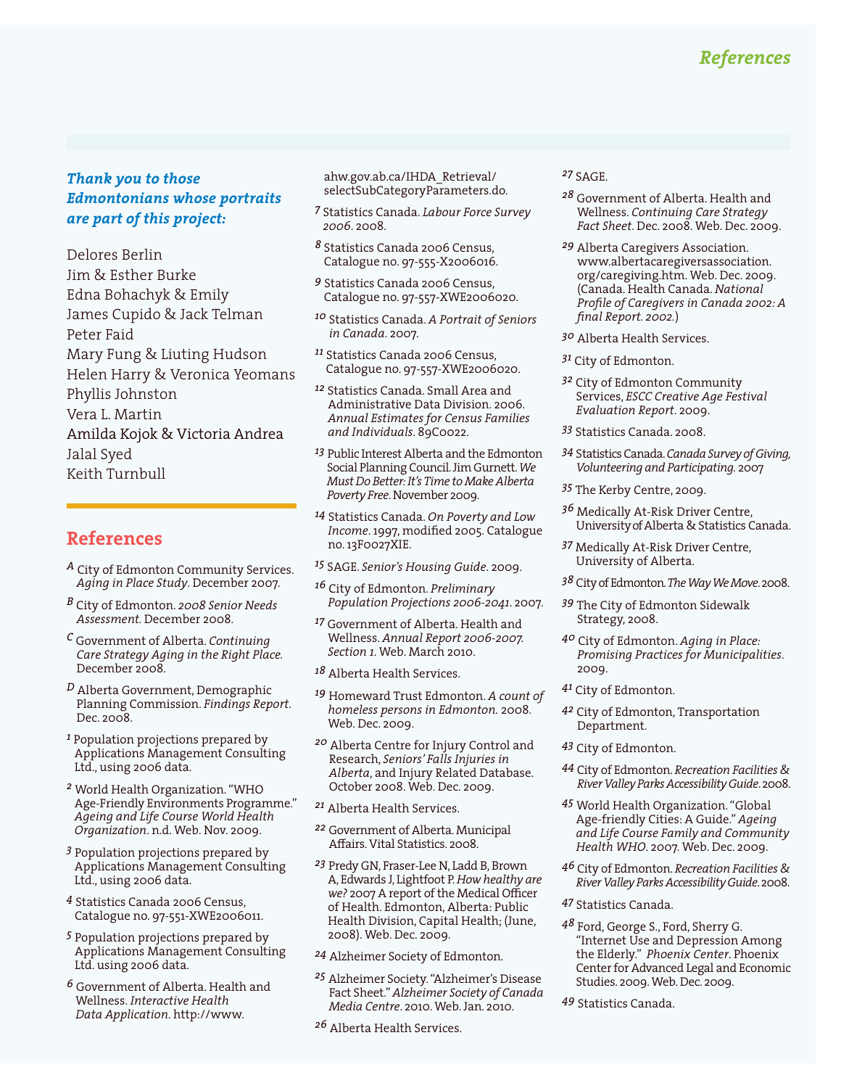#### *Thank you to those Edmontonians whose portraits are part of this project:*

Delores Berlin Jim & Esther Burke Edna Bohachyk & Emily James Cupido & Jack Telman Peter Faid Mary Fung & Liuting Hudson Helen Harry & Veronica Yeomans Phyllis Johnston Vera L. Martin Amilda Kojok & Victoria Andrea Jalal Syed Keith Turnbull

#### **References**

- *A* City of Edmonton Community Services. *Aging in Place Study*. December 2007.
- *B* City of Edmonton. *2008 Senior Needs Assessment.* December 2008.
- *C* Government of Alberta. *Continuing Care Strategy Aging in the Right Place.*  December 2008.
- *D* Alberta Government, Demographic Planning Commission. *Findings Report*. Dec. 2008.
- *1* Population projections prepared by Applications Management Consulting Ltd., using 2006 data.
- *2* World Health Organization. "WHO Age-Friendly Environments Programme." *Ageing and Life Course World Health Organization*. n.d. Web. Nov. 2009.
- *3* Population projections prepared by Applications Management Consulting Ltd., using 2006 data.
- *4* Statistics Canada 2006 Census, Catalogue no. 97-551-XWE2006011.
- *5* Population projections prepared by Applications Management Consulting Ltd. using 2006 data.
- *6* Government of Alberta. Health and Wellness. *Interactive Health Data Application*. http://www.

ahw.gov.ab.ca/IHDA\_Retrieval/ selectSubCategoryParameters.do.

- *7* Statistics Canada. *Labour Force Survey 2006*. 2008.
- *8* Statistics Canada 2006 Census, Catalogue no. 97-555-X2006016.
- *9* Statistics Canada 2006 Census, Catalogue no. 97-557-XWE2006020.
- *10* Statistics Canada. *A Portrait of Seniors in Canada*. 2007.
- *11* Statistics Canada 2006 Census, Catalogue no. 97-557-XWE2006020.
- *12* Statistics Canada. Small Area and Administrative Data Division. 2006. *Annual Estimates for Census Families and Individuals*. 89C0022.
- *13* Public Interest Alberta and the Edmonton Social Planning Council. Jim Gurnett. *We Must Do Better: It's Time to Make Alberta Poverty Free*. November 2009.
- *14* Statistics Canada. *On Poverty and Low Income*. 1997, modified 2005. Catalogue no. 13F0027XIE.
- *15* SAGE. *Senior's Housing Guide*. 2009.
- *16* City of Edmonton. *Preliminary Population Projections 2006-2041*. 2007.
- *17* Government of Alberta. Health and Wellness. *Annual Report 2006-2007. Section 1*. Web. March 2010.
- *18* Alberta Health Services.
- *19* Homeward Trust Edmonton. *A count of homeless persons in Edmonton.* 2008. Web. Dec. 2009.
- *20* Alberta Centre for Injury Control and Research, *Seniors' Falls Injuries in Alberta*, and Injury Related Database. October 2008. Web. Dec. 2009.
- *21* Alberta Health Services.
- *22* Government of Alberta. Municipal Affairs. Vital Statistics. 2008.
- *23* Predy GN, Fraser-Lee N, Ladd B, Brown A, Edwards J, Lightfoot P. *How healthy are we?* 2007 A report of the Medical Officer of Health. Edmonton, Alberta: Public Health Division, Capital Health; (June, 2008). Web. Dec. 2009.
- *24* Alzheimer Society of Edmonton.
- *25* Alzheimer Society. "Alzheimer's Disease Fact Sheet." *Alzheimer Society of Canada Media Centre*. 2010. Web. Jan. 2010.
- *26* Alberta Health Services.

#### *27* SAGE.

- *28* Government of Alberta. Health and Wellness. *Continuing Care Strategy Fact Sheet*. Dec. 2008. Web. Dec. 2009.
- *29* Alberta Caregivers Association. www.albertacaregiversassociation. org/caregiving.htm. Web. Dec. 2009. (Canada. Health Canada. *National Profile of Caregivers in Canada 2002: A final Report. 2002.*)
- *30* Alberta Health Services.
- *31* City of Edmonton.
- *32* City of Edmonton Community Services, *ESCC Creative Age Festival Evaluation Report*. 2009.
- *33* Statistics Canada. 2008.
- *34* Statistics Canada. *Canada Survey of Giving, Volunteering and Participating.* 2007
- *35* The Kerby Centre, 2009.
- *36* Medically At-Risk Driver Centre, University of Alberta & Statistics Canada.
- *37* Medically At-Risk Driver Centre, University of Alberta.
- *38* City of Edmonton. *The Way We Move*. 2008.
- *39* The City of Edmonton Sidewalk Strategy, 2008.
- *40* City of Edmonton. *Aging in Place: Promising Practices for Municipalities*. 2009.
- *41* City of Edmonton.
- *42* City of Edmonton, Transportation Department.
- *43* City of Edmonton.
- *44* City of Edmonton. *Recreation Facilities & River Valley Parks Accessibility Guide*. 2008.
- *45* World Health Organization. "Global Age-friendly Cities: A Guide." *Ageing and Life Course Family and Community Health WHO*. 2007. Web. Dec. 2009.
- *46* City of Edmonton. *Recreation Facilities & River Valley Parks Accessibility Guide*. 2008.
- *47* Statistics Canada.
- *48* Ford, George S., Ford, Sherry G. "Internet Use and Depression Among the Elderly." *Phoenix Center*. Phoenix Center for Advanced Legal and Economic Studies. 2009. Web. Dec. 2009.
- *49* Statistics Canada.